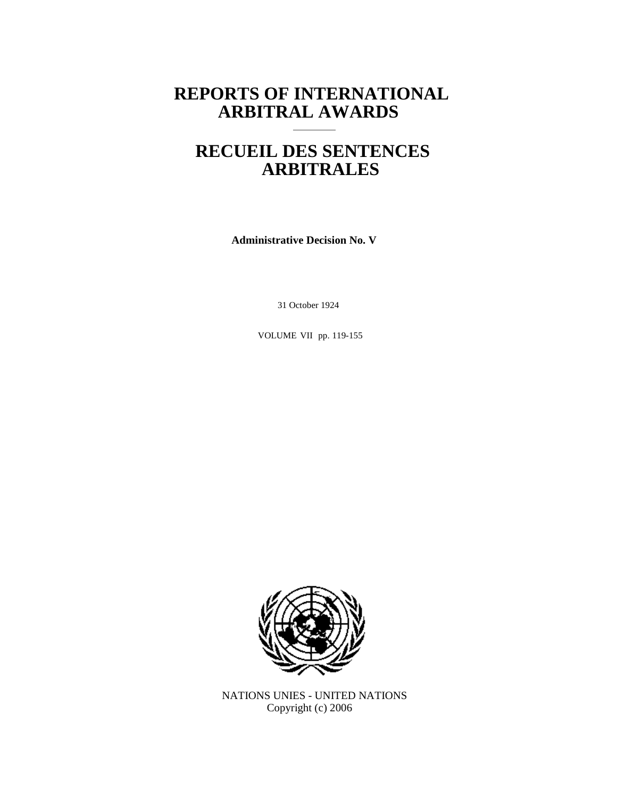# **REPORTS OF INTERNATIONAL ARBITRAL AWARDS**

# **RECUEIL DES SENTENCES ARBITRALES**

**Administrative Decision No. V**

31 October 1924

VOLUME VII pp. 119-155



NATIONS UNIES - UNITED NATIONS Copyright (c) 2006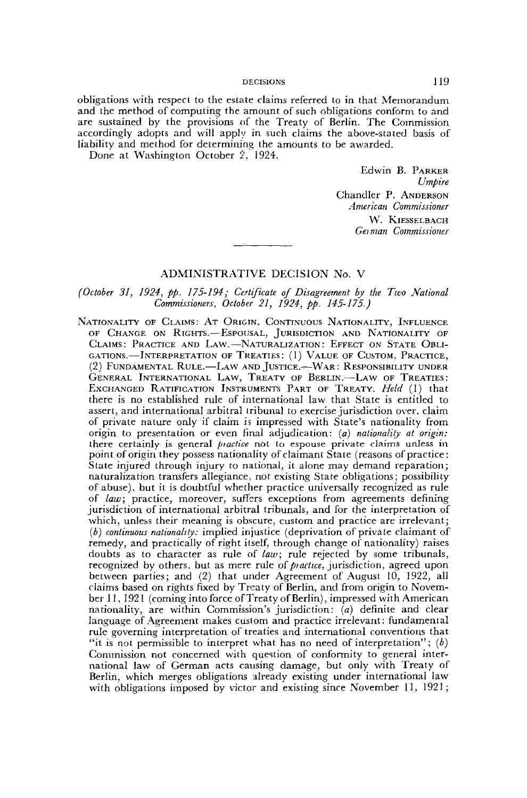obligations with respect to the estate claims referred to in that Memorandum and the method of computing the amount of such obligations conform to and are sustained by the provisions of the Treaty of Berlin. The Commission accordingly adopts and will apply in such claims the above-stated basis of liability and method for determining the amounts to be awarded.

Done at Washington October 2, 1924.

Edwin B. PARKER *Umpire* Chandler P. ANDERSON *American Commissioner* W. KlESSELBACH *Gei man Commissioner*

# ADMINISTRATIVE DECISION No. V

## *(October 31, 1924, pp. 175-194; Certificate of Disagreement by the Two National Commissioners, October 21, 1924, pp. 145-175.)*

NATIONALITY OF CLAIMS: AT ORIGIN, CONTINUOUS NATIONALITY, INFLUENCE OF CHANGE ON RIGHTS.—ESPOUSAL, JURISDICTION AND NATIONALITY OF CLAIMS: PRACTICE AND LAW.—NATURALIZATION: EFFECT ON STATE OBLI-GATIONS.—INTERPRETATION OF TREATIES: (I) VALUE OF CUSTOM, PRACTICE, (2) FUNDAMENTAL RULE.—LAW AND JUSTICE.—WAR: RESPONSIBILITY UNDER GENERAL INTERNATIONAL LAW, TREATY OF BERLIN.—LAW OF TREATIES: EXCHANGED RATIFICATION INSTRUMENTS PART OF TREATY. *Held* (1) that there is no established rule of international law that State is entitled to assert, and international arbitral tribunal to exercise jurisdiction over, claim of private nature only if claim is impressed with State's nationality from origin to presentation or even final adjudication: *(a) nationality at origin:* there certainly is general *piactice* not to espouse private claims unless in point of origin they possess nationality of claimant State (reasons of practice: State injured through injury to national, it alone may demand reparation; naturalization transfers allegiance, not existing State obligations; possibility of abuse), but it is doubtful whether practice universally recognized as rule of law; practice, moreover, suffers exceptions from agreements defining jurisdiction of international arbitral tribunals, and for the interpretation of which, unless their meaning is obscure, custom and practice are irrelevant; *(b) continuous nationality:* implied injustice (deprivation of private claimant of remedy, and practically of right itself, through change of nationality) raises doubts as to character as rule of *law;* rule rejected by some tribunals, recognized by others, but as mere rule of *practice*, jurisdiction, agreed upon between parties; and (2) that under Agreement of August 10, 1922, all claims based on rights fixed by Treaty of Berlin, and from origin to November 11, 1921 (coming into force of Treaty of Berlin), impressed with American nationality, are within Commission's jurisdiction: *(a)* definite and clear nationality, are within Commission's jurisdiction: (a) definite and clear rule governing interpretation of treaties and international conventions that rule governing interpretation of treaties and international conventions that "it is not permissible to interpret what has no need of interpretation"; (b) Commission not concerned with question of conformity to general international law of German acts causing damage, but only with Treaty of Berlin, which merges obligations already existing under international law with obligations imposed by victor and existing since November 11, 1921;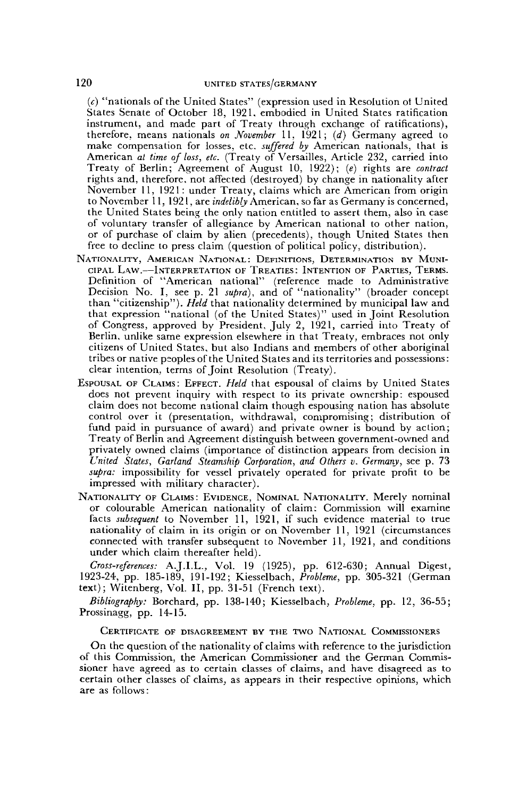*(c)* "nationals of the United States" (expression used in Resolution ot United States Senate of October 18, 1921, embodied in United States ratification instrument, and made part of Treaty through exchange of ratifications), therefore, means nationals *on November* 11, 1921; *(d)* Germany agreed to make compensation for losses, etc. *suffered by* American nationals, that is American *at time of loss, etc.* (Treaty of Versailles, Article 232, carried into Treaty of Berlin; Agreement of August 10, 1922); *(e)* rights are *contract* rights and, therefore, not affected (destroyed) by change in nationality after November 11, 1921 : under Treaty, claims which are American from origin to November 11, 1921, are *indelibly* American, so far as Germany is concerned, the United States being the only nation entitled to assert them, also in case of voluntary transfer of allegiance by American national to other nation, or of purchase of claim by alien (precedents), though United States then free to decline to press claim (question of political policy, distribution).

- NATIONALITY, AMERICAN NATIONAL: DEFINITIONS, DETERMINATION BY MUNI-CIPAL LAW.—INTERPRETATION OF TREATIES: INTENTION OF PARTIES, TERMS. Definition of "American national" (reference made to Administrative Decision No. I, see p. 21 *supra),* and of "nationality" (broader concept than "citizenship"). *Held* that nationality determined by municipal law and that expression "national (of the United States)" used in Joint Resolution of Congress, approved by President, July 2, 1921, carried into Treaty of Berlin, unlike same expression elsewhere in that Treaty, embraces not only citizens of United States, but also Indians and members of other aboriginal tribes or native peoples of the United States and its territories and possessions: clear intention, terms of Joint Resolution (Treaty).
- ESPOUSAL OF CLAIMS: EFFECT. *Held* that espousal of claims by United States does not prevent inquiry with respect to its private ownership: espoused claim does not become national claim though espousing nation has absolute control over it (presentation, withdrawal, compromising; distribution of fund paid in pursuance of award) and private owner is bound by action; Treaty of Berlin and Agreement distinguish between government-owned and privately owned claims (importance of distinction appears from decision in *United States, Garland Steamship Corporation, and Others v. Germany,* see p. 73 *supra:* impossibility for vessel privately operated for private profit to be impressed with military character).
- NATIONALITY OF CLAIMS: EVIDENCE, NOMINAL NATIONALITY. Merely nominal or colourable American nationality of claim: Commission will examine facts *subsequent* to November 11, 1921, if such evidence material to true nationality of claim in its origin or on November 11, 1921 (circumstances connected with transfer subsequent to November 11, 1921, and conditions under which claim thereafter held).

*Cross-references:* A.J.I.L., Vol. 19 (1925), pp. 612-630; Annual Digest, 1923-24, pp. 185-189, 191-192; Kiesselbach, *Problème,* pp. 305-321 (German text); Witenberg, Vol. II, pp. 31-51 (French text).

*Bibliography:* Borchard, pp. 138-140; Kiesselbach, *Problème,* pp. 12, 36-55; Prossinagg, pp. 14-15.

#### CERTIFICATE OF DISAGREEMENT BY THE TWO NATIONAL COMMISSIONERS

On the question of the nationality of claims with reference to the jurisdiction of this Commission, the American Commissioner and the German Commissioner have agreed as to certain classes of claims, and have disagreed as to certain other classes of claims, as appears in their respective opinions, which are as follows: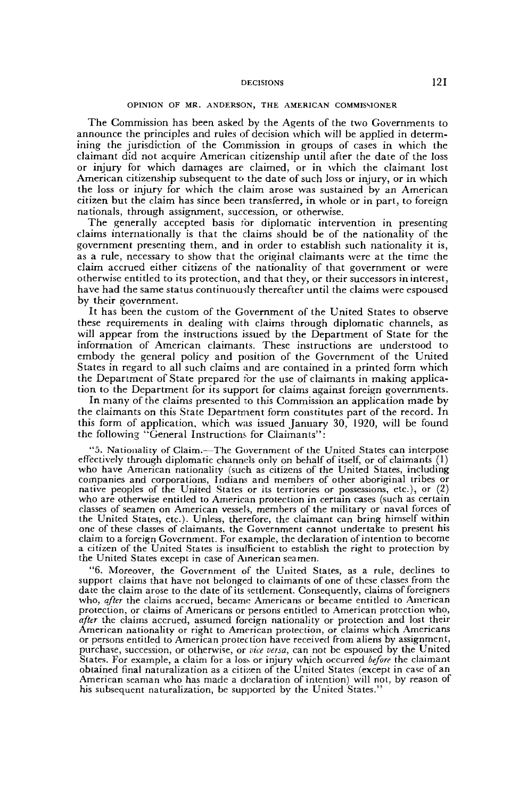#### OPINION OF MR. ANDERSON, THE AMERICAN COMMISSIONER

The Commission has been asked by the Agents of the two Governments to announce the principles and rules of decision which will be applied in determining the jurisdiction of the Commission in groups of cases in which the claimant did not acquire American citizenship until after the date of the loss or injury for which damages are claimed, or in which the claimant lost American citizenship subsequent to the date of such loss or injury, or in which the loss or injury for which the claim arose was sustained by an American citizen but the claim has since been transferred, in whole or in part, to foreign nationals, through assignment, succession, or otherwise.

The generally accepted basis for diplomatic intervention in presenting claims internationally is that the claims should be of the nationality of the government presenting them, and in order to establish such nationality it is, as a rule, necessary to show that the original claimants were at the time the claim accrued either citizens of the nationality of that government or were otherwise entitled to its protection, and that they, or their successors in interest, have had the same status continuously thereafter until the claims were espoused by their government.

It has been the custom of the Government of the United States to observe these requirements in dealing with claims through diplomatic channels, as will appear from the instructions issued by the Department of State for the information of American claimants. These instructions are understood to embody the general policy and position of the Government of the United States in regard to all such claims and are contained in a printed form which the Department of State prepared for the use of claimants in making application to the Department for its support for claims against foreign governments.

In many of the claims presented to this Commission an application made by the claimants on this State Department form constitutes part of the record. In this form of application, which was issued January 30, 1920, will be found the following "General Instructions for Claimants":

"5. Nationality of Claim.—The Government of the United States can interpose effectively through diplomatic channels only on behalf of itself, or of claimants (1) who have American nationality (such as citizens of the United States, including companies and corporations, Indians and members of other aboriginal tribes or native peoples of the United States or its territories or possessions, etc.), or (2) who are otherwise entitled to American protection in certain cases (such as certain classes of seamen on American vessels, members of the military or naval forces of the United States, etc.). Unless, therefore, the claimant can bring himself within one of these classes of claimants, the Government cannot undertake to present his claim to a foreign Government. For example, the declaration of intention to become a citizen of the United States is insufficient to establish the right to protection by the United States except in case of American seamen.

"6. Moreover, the Government of the United States, as a rule, declines to support claims that have not belonged to claimants of one of these classes from the date the claim arose to the date of its settlement. Consequently, claims of foreigners who, *after* the claims accrued, became Americans or became entitled to American protection, or claims of Americans or persons entitled to American protection who, *after* the claims accrued, assumed foreign nationality or protection and lost their American nationality or right to American protection, or claims which Americans or persons entitled to American protection have received from aliens by assignment, purchase, succession, or otherwise, or *vice versa,* can not be espoused by the United States. For example, a claim for a loss or injury which occurred *before* the claimant obtained final naturalization as a citizen of the United States (except in case of an American seaman who has made a declaration of intention) will not, by reason of his subsequent naturalization, be supported by the United States."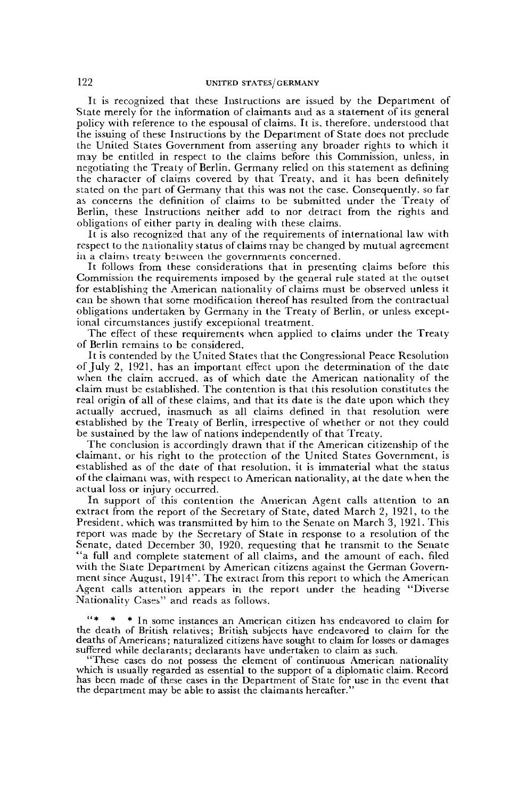It is recognized that these Instructions are issued by the Department of State merely for the information of claimants and as a statement of its general policy with reference to the espousal of claims. It is, therefore, understood that the issuing of these Instructions by the Department of State does not preclude the United States Government from asserting any broader rights to which it may be entitled in respect to the claims before this Commission, unless, in negotiating the Treaty of Berlin. Germany relied on this statement as defining the character of claims covered by that Treaty, and it has been definitely stated on the part of Germany that this was not the case. Consequently, so far as concerns the definition of claims to be submitted under the Treaty of Berlin, these Instructions neither add to nor detract from the rights and obligations of either party in dealing with these claims.

It is also recognized that any of the requirements of international law with respect to the nationality status of claims may be changed by mutual agreement ia a claims treaty bstweea the governments concerned.

It follows from these considerations that in presenting claims before this Commission the requirements imposed by the general rule stated at the outset for establishing the American nationality of claims must be observed unless it can be shown that some modification thereof has resulted from the contractual obligations undertaken by Germany in the Treaty of Berlin, or unless exceptional circumstances justify exceptional treatment.

The effect of these requirements when applied to claims under the Treaty of Berlin remains to be considered.

It is contended by the United States that the Congressional Peace Resolution of July 2, 1921, has an important effect upon the determination of the date when the claim accrued, as of which date the American nationality of the claim must bs established. The contention is that this resolution constitutes the real origin of all of these claims, and that its date is the date upon which they actually accrued, inasmuch as all claims defined in that resolution were established by the Treaty of Berlin, irrespective of whether or not they could be sustained by the law of nations independently of that Treaty.

The conclusion is accordingly drawn that if the American citizenship of the claimant, or his right to the protection of the United States Government, is established as of the date of that resolution, it is immaterial what the status of the claimant was, with respect to American nationality, at the date when the actual loss or injury occurred.

In support of this contention the American Agent calls attention to an extract from the report of the Secretary of State, dated March 2, 1921, to the President, which was transmitted by him to the Senate on March 3, 1921. This report was made by the Secretary of State in response to a resolution of the Senate, dated December 30, 1920, requesting that he transmit to the Senate "a full and complete statement of all claims, and the amount of each, filed with the State Department by American citizens against the German Government since August, 1914". The extract from this report to which the American Agent calls attention appears in the report under the heading "Diverse Nationality Cases" and reads as follows,

\* In some instances an American citizen has endeavored to claim for the death of British relatives; British subjects have endeavored to claim for the deaths of Americans; naturalized citizens have sought to claim for losses or damages suffered while declarants; declarants have undertaken to claim as such.

"These cases do not possess the element of continuous American nationality which is usually regarded as essential to the support of a diplomatic claim. Record has been made of these cases in the Department of State for use in the event that the department may be able to assist the claimants hereafter."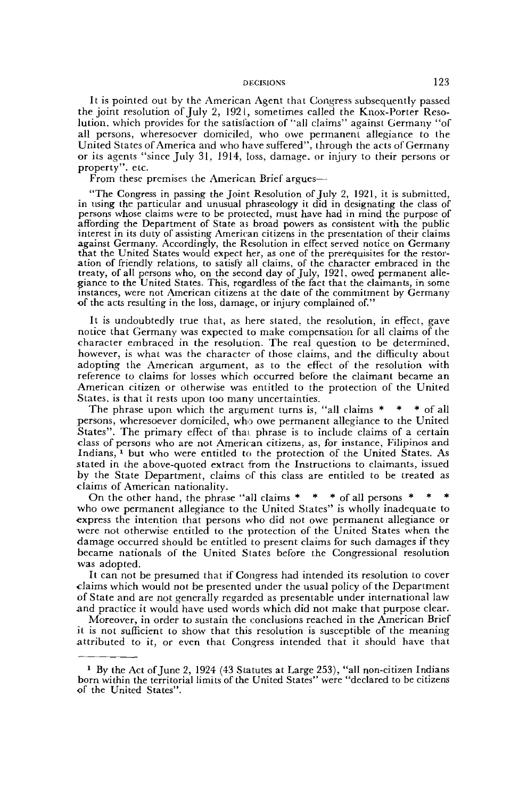It is pointed out by the American Agent that Congress subsequently passed the joint resolution of July 2, 1921, sometimes called the Knox-Porter Resolution, which provides for the satisfaction of'"all claims" against Germany "of all persons, wheresoever domiciled, who owe permanent allegiance to the United States of America and who have suffered", through the acts of Germany or its agents "since July 31, 1914, loss, damage, or injury to their persons or property", etc.

From these premises the American Brief argues—

"The Congress in passing the Joint Resolution of July 2, 1921, it is submitted, in using the particular and unusual phraseology it did in designating the class of persons whose claims were to be protected, must have had in mind the purpose of affording the Department of State as broad powers as consistent with the public interest in its duty of assisting American citizens in the presentation of their claims against Germany. Accordingly, the Resolution in effect served notice on Germany that the United States would expect her, as one of the prerequisites for the restoration of friendly relations, to satisfy all claims, of the character embraced in the treaty, of all persons who, on the second day of July, 1921, owed permanent allegiance to the United States. This, regardless of the fact that the claimants, in some instances, were not American citizens at the date of the commitment by Germany •of the acts resulting in the loss, damage, or injury complained of."

It is undoubtedly true that, as here stated, the resolution, in effect, gave notice that Germany was expected to make compensation for all claims of the character embraced in the resolution. The real question to be determined, however, is what was the character of those claims, and the difficulty about adopting the American argument, as to the effect of the resolution with reference to claims for losses which occurred before the claimant became an American citizen or otherwise was entitled to the protection of the United States, is that it rests upon too many uncertainties.

The phrase upon which the argument turns is, "all claims  $* * *$  of all persons, wheresoever domiciled, who owe permanent allegiance to the United States". The primary effect of that phrase is to include claims of a certain class of persons who are not American citizens, as, for instance, Filipinos and Indians,<sup>1</sup> but who were entitled to the protection of the United States. As stated in. the above-quoted extract from the Instructions to claimants, issued by the State Department, claims of this class are entitled to be treated as claims of American nationality.

On the other hand, the phrase "all claims \* \* \* of all persons \* who owe permanent allegiance to the United States" is wholly inadequate to express the intention that persons who did not owe permanent allegiance or were not otherwise entitled to the protection of the United States when the damage occurred should be entitled to present claims for such damages if they became nationals of the United Slates before the Congressional resolution was adopted.

It can not be presumed that if Congress had intended its resolution to cover claims which would not be presented under the usual policy of the Department of State and are not generally regarded as presentable under international law and practice it would have used words which did not make that purpose clear.

Moreover, in order to sustain the conclusions reached in the American Brief it is not sufficient to show that this resolution is susceptible of the meaning attributed to it, or even that Congress intended that it should have that

<sup>&</sup>lt;sup>1</sup> By the Act of June 2, 1924 (43 Statutes at Large 253), "all non-citizen Indians born within the territorial limits of the United States" were "declared to be citizens of the United States".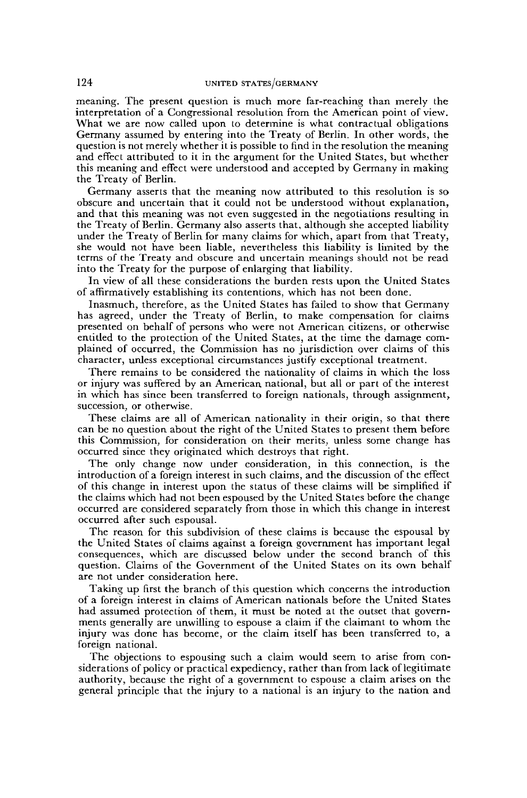meaning. The present question is much more far-reaching than merely the interpretation of a Congressional resolution from the American point of view. What we are now called upon to determine is what contractual obligations Germany assumed by entering into the Treaty of Berlin. In other words, the question is not merely whether it is possible to find in the resolution the meaning and effect attributed to it in the argument for the United States, but whether this meaning and effect were understood and accepted by Germany in making the Treaty of Berlin.

Germany asserts that the meaning now attributed to this resolution is so obscure and uncertain that it could not be understood without explanation, and that this meaning was not even suggested in the negotiations resulting in the Treaty of Berlin. Germany also asserts that, although she accepted liability under the Treaty of Berlin for many claims for which, apart from that Treaty, she would not have been liable, nevertheless this liability is limited by the terms of the Treaty and obscure and uncertain meanings should not be read into the Treaty for the purpose of enlarging that liability.

In view of all these considerations the burden rests upon the United States of affirmatively establishing its contentions, which has not been done.

Inasmuch, therefore, as the United States has failed to show that Germany has agreed, under the Treaty of Berlin, to make compensation for claims presented on behalf of persons who were not American citizens, or otherwise entitled to the protection of the United States, at the time the damage complained of occurred, the Commission has no jurisdiction over claims of this character, unless exceptional circumstances justify exceptional treatment.

There remains to be considered the nationality of claims in which the loss or injury was suffered by an American national, but all or part of the interest in which has since been transferred to foreign nationals, through assignment, succession, or otherwise.

These claims are all of American nationality in their origin, so that there can be no question about the right of the United States to present them before this Commission, for consideration on their merits, unless some change has occurred since they originated which destroys that right.

The only change now under consideration, in this connection, is the introduction of a foreign interest in such claims, and the discussion of the effect of this change in interest upon the status of these claims will be simplified if the claims which had not been espoused by the United States before the change occurred are considered separately from those in which this change in interest occurred after such espousal.

The reason for this subdivision of these claims is because the espousal by the United States of claims against a foreign government has important legal consequences, which are discussed below under the second branch of this question. Claims of the Government of the United States on its own behalf are not under consideration here.

Taking up first the branch of this question which concerns the introduction of a foreign interest in claims of American nationals before the United States had assumed protection of them, it must be noted at the outset that governments generally are unwilling to espouse a claim if the claimant to whom the injury was done has become, or the claim itself has been transferred to, a foreign national.

The objections to espousing such a claim would seem to arise from considerations of policy or practical expediency, rather than from lack of legitimate authority, because the right of a government to espouse a claim arises on the general principle that the injury to a national is an injury to the nation and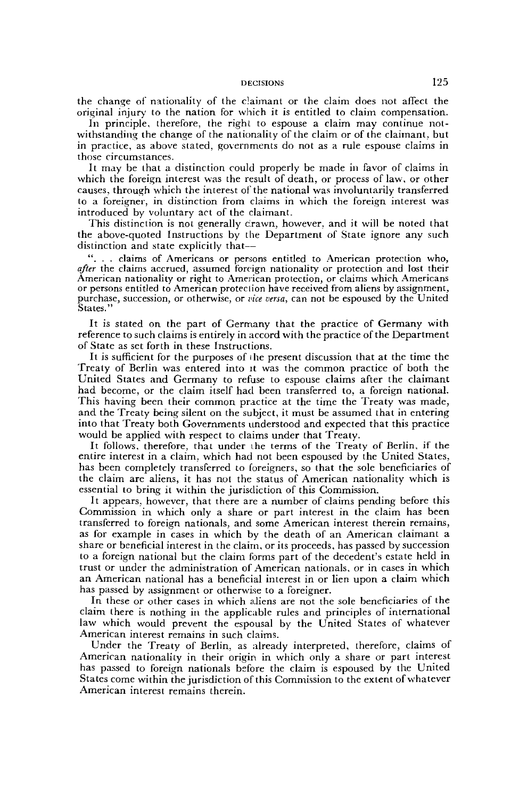the change of nationality of the claimant or the claim does not affect the original injury to the nation for which it is entitled to claim compensation.

In principle, therefore, the right to espouse a claim may continue notwithstanding the change of the nationality of the claim or of the claimant, but in practice, as above stated, governments do not as a rule espouse claims in those circumstances.

It may be that a distinction could properly be made in favor of claims in vvhich the foreign interest was the result of death, or process of law, or other causes, through which the interest of the national was involuntarily transferred to a foreigner, in distinction from claims in which the foreign interest was introduced by voluntary act of the claimant.

This distinction is not generally crawn, however, and it will be noted that the above-quoted Instructions by the Department of State ignore any such distinction and state explicitly that—

". . . claims of Americans or persons entitled to American protection who, *after* the claims accrued, assumed foreign nationality or protection and lost their American nationality or right to American protection, or claims which Americans or persons entitled to American proteclion have received from aliens by assignment, purchase, succession, or otherwise, or *vice versa,* can not be espoused by the United States."

It is stated on the part of Germany that the practice of Germany with reference to such claims is entirely in accord with the practice of the Department of State as set forth in these Instructions.

It is sufficient for the purposes of i he present discussion that at the time the Treaty of Berlin was entered into it was the common practice of both the United States and Germany to refuse to espouse claims after the claimant had become, or the claim itself had been transferred to, a foreign national. This having been their common practice at the time the Treaty was made, and the Treaty being silent on the subject, it must be assumed that in entering into that Treaty both Governments understood and expected that this practice would be applied with respect to claims under that Treaty.

It follows, therefore, that under the terms of the Treaty of Berlin, if the entire interest in a claim, which had not been espoused by the United States, has been completely transferred to foreigners, so that the sole beneficiaries of the claim are aliens, it has not the status of American nationality which is essential to bring it within the jurisdiction of this Commission.

It appears, however, that there are a number of claims pending before this Commission in which only a share or part interest in the claim has been transferred to foreign nationals, and some American interest therein remains, as for example in cases in which by the death of an American claimant a share or beneficial interest in the claim, or its proceeds, has passed by succession to a foreign national but the claim forms part of the decedent's estate held in trust or under the administration of American nationals, or in cases in which an American national has a beneficial interest in or lien upon a claim which has passed by assignment or otherwise to a foreigner.

In these or other cases in which aliens are not the sole beneficiaries of the claim there is nothing in the applicable rules and principles of international law which would prevent the espousal by the United States of whatever American interest remains in such claims.

Under the Treaty of Berlin, as already interpreted, therefore, claims of American nationality in their origin in which only a share or part interest has passed to foreign nationals before the claim is espoused by the United States come within the jurisdiction of this Commission to the extent of whatever American interest remains therein.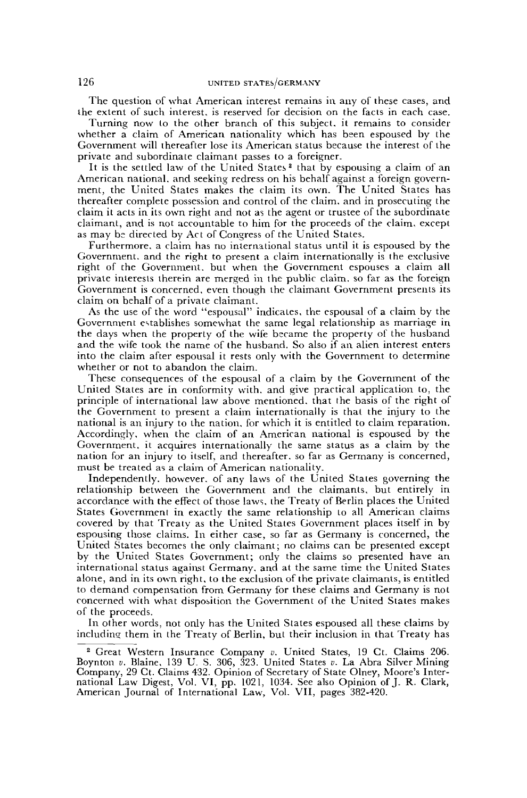The question of what American interest remains in any of these cases, and the extent of such interest, is reserved for decision on the facts in each case.

Turning now to the other branch of this subject, it remains to consider whether a claim of American nationality which has been espoused by the Government will thereafter lose its American status because the interest of the private and subordinate claimant passes to a foreigner.

It is the settled law of the United States<sup>2</sup> that by espousing a claim of an American national, and seeking redress on his behalf against a foreign government, the United States makes the claim its own. The United States has thereafter complete possession and control of the claim, and in prosecuting the claim it acts in its own right and not as the agent or trustee of the subordinate claimant, and is not accountable to him for the proceeds of the claim, except as may be directed by Act of Congress of the United States.

Furthermore, a claim has no international status until it is espoused by the Government, and the right to present a claim internationally is the exclusive right of the Government, but when the Government espouses a claim all private interests therein are merged in the public claim, so far as the foreign Government is concerned, even though the claimant Government presents its claim on behalf of a private claimant.

As the use of the word "espousal" indicates, the espousal of a claim by the Government establishes somewhat the same legal relationship as marriage in the days when the property of the wife became the property of the husband and the wife took the name of the husband. So also if an alien interest enters into the claim after espousal it rests only with the Government to determine whether or not to abandon the claim.

These consequences of the espousal of a claim by the Government of the United States are in conformity with, and give practical application to, the principle of international law above mentioned, that the basis of the right of the Government to present a claim internationally is that the injury to the national is an injury to the nation, for which it is entitled to claim reparation. Accordingly, when the claim of an American national is espoused by the Government, it acquires internationally the same status as a claim by the nation for an injury to itself, and thereafter, so far as Germany is concerned, must be treated as a claim of American nationality.

Independently, however, of any laws of the United States governing the relationship between the Government and the claimants, but entirely in accordance with the effect of those laws, the Treaty of Berlin places the United States Government in exactly the same relationship to all American claims covered by that Treaty as the United States Government places itself in by espousing those claims. In either case, so far as Germany is concerned, the United States becomes the only claimant; no claims can be presented except by the United States Government; only the claims so presented have an international status against Germany, and at the same time the United States alone, and in its own right, to the exclusion of the private claimants, is entitled to demand compensation from Germany for these claims and Germany is not concerned with what disposition the Government of the United States makes of the proceeds.

In other words, not only has the United States espoused all these claims by including them in the Treaty of Berlin, but their inclusion in that Treaty has

<sup>2</sup> Great Western Insurance Company *u.* United States, 19 Ct. Claims 206. Boynton *v.* Blaine, 139 U. S. 306, 323. United States *v.* La Abra Silver Mining Company, 29 Ct. Claims 432. Opinion of Secretary of State Olney, Moore's International Law Digest, Vol. VI, pp. 1021, 1034. See also Opinion of J. R. Clark, American Journal of International Law, Vol. VII, pages 382-420.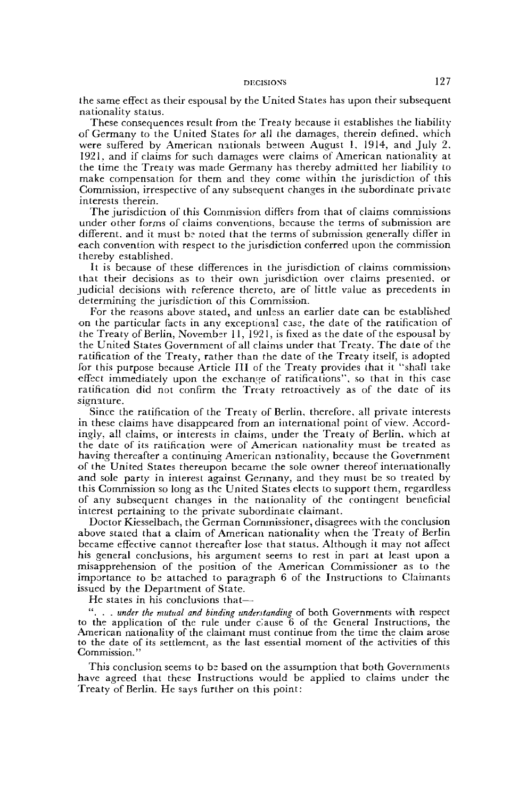the same effect as their espousal by the United States has upon their subsequent nationality status.

These consequences result from the Treaty because it establishes the liability of Germany to the United States for all the damages, therein defined, which were suffered by American nationals between August 1, 1914, and July 2, 1921, and if claims for such damages were claims of American nationality at the time the Treaty was made Germany has thereby admitted her liability to make compensation for them and they come within the jurisdiction of this Commission, irrespective of any subsequent changes in the subordinate private interests therein.

The jurisdiction of this Commission differs from that of claims commissions under other forms of claims conventions, because the terms of submission are different, and it must be noted that the terms of submission generally differ in each convention with respect to the jurisdiction conferred upon the commission thereby established.

It is because of these differences in the jurisdiction of claims commissions that their decisions as to their own jurisdiction over claims presented, or judicial decisions with reference thereto, are of little value as precedents in determining the jurisdiction of this Commission.

For the reasons above stated, and unless an earlier date can be established •on the particular facts in any exceptional case, the date of the ratification of the Treaty of Berlin, November 11, 1921, is fixed as the date of the espousal by the United States Government of all claims under that Treaty. The date of the ratification of the Treaty, rather than the date of the Treaty itself, is adopted for this purpose because Article III of the Treaty provides that it "shall take effect immediately upon the exchange of ratifications", so that in this case ratification did not confirm the Treaty retroactively as of the date of its signature.

Since the ratification of the Treaty of Berlin, therefore, all private interests in these claims have disappeared from an international point of view. Accordingly, all claims, or interests in claims, under the Treaty of Berlin, which at the date of its ratification were of American nationality must be treated as having thereafter a continuing American nationality, because the Government of the United States thereupon became the sole owner thereof internationally and sole party in interest against Germany, and they must be so treated by this Commission so long as the United States elects to support them, regardless of any subsequent changes in the nationality of the contingent beneficial interest pertaining to the private subordinate claimant.

Doctor Kiesselbach, the German Commissioner, disagrees with the conclusion above stated that a claim of American nationality when the Treaty of Berlin became effective cannot thereafter lose that status. Although it may not affect his general conclusions, his argument seems to rest in part at least upon a misapprehension of the position of the American Commissioner as to the importance to be attached to paragraph 6 of the Instructions to Claimants issued by the Department of State.

He states in his conclusions that—

". . . *under the mutual and binding understanding* of both Governments with respect to the application of the rule under clause 6 of the General Instructions, the American nationality of the claimant must continue from the time the claim arose to the date of its settlement, as the last essential moment of the activities of this Commission."

This conclusion seems to bs based on the assumption that both Governments have agreed that these Instructions would be applied to claims under the Treaty of Berlin. He says further on this point: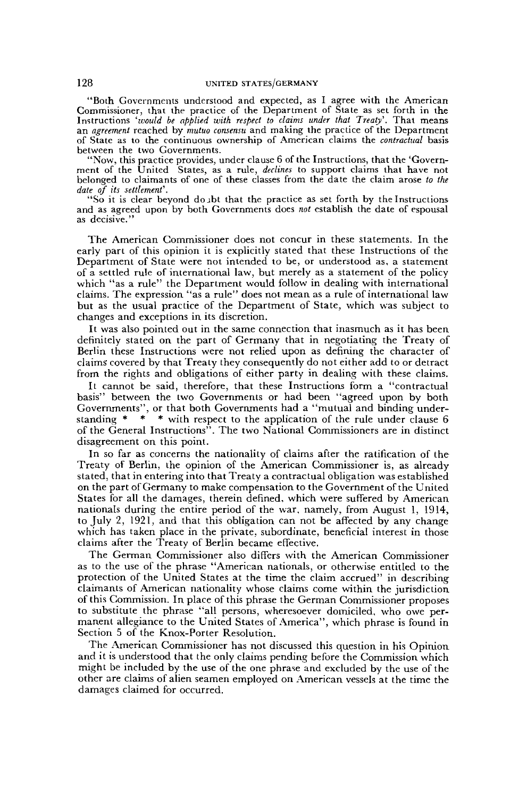"Both Governments understood and expected, as I agree with the American Commissioner, that the practice of the Department of State as set forth in the Instructions *''would be applied with respect to claims under that Treaty'.* That means an *agreement* reached by *mutuo consensu* and making the practice of the Department of State as to the continuous ownership of American claims the *contractual* basis between the two Governments.

"Now, this practice provides, under clause 6 of the Instructions, that the 'Government of the United States, as a rule, *declines* to support claims that have not belonged to claimants of one of these classes from the date the claim arose *to the date of its settlement'.*

"So it is clear beyond dojbt that the practice as set forth by the Instructions and as agreed upon by both Governments does *not* establish the date of espousal as decisive."

The American Commissioner does not concur in these statements. In the early part of this opinion it is explicitly stated that these Instructions of the Department of State were not intended to be, or understood as, a statement of a settled rule of international law, but merely as a statement of the policy which "as a rule" the Department would follow in dealing with international claims. The expression "as a rule" does not mean as a rule of international law but as the usual practice of the Department of State, which was subject to changes and exceptions in its discretion.

It was also pointed out in the same connection that inasmuch as it has been definitely stated on the part of Germany that in negotiating the Treaty of Berlin these Instructions were not relied upon as defining the character of claims covered by that Treaty they consequently do not either add to or detract from the rights and obligations of either party in dealing with these claims.

It cannot be said, therefore, that these Instructions form a "contractual basis" between the two Governments or had been "agreed upon by both Governments", or that both Governments had a "mutual and binding understanding \* \* \* with respect to the application of the rule under clause 6 of the General Instructions". The two National Commissioners are in distinct disagreement on this point.

In so far as concerns the nationality of claims after the ratification of the Treaty of Berlin, the opinion of the American Commissioner is, as already stated, that in entering into that Treaty a contractual obligation was established on the part of Germany to make compensation to the Government of the United States for all the damages, therein defined, which were suffered by American nationals during the entire period of the war, namely, from August 1, 1914, to July 2, 1921, and that this obligation can not be affected by any change which has taken place in the private, subordinate, beneficial interest in those claims after the Treaty of Berlin became effective.

The German Commissioner also differs with the American Commissioner as to the use of the phrase "American nationals, or otherwise entitled to the protection of the United States at the time the claim accrued" in describing claimants of American nationality whose claims come within the jurisdiction of this Commission. In place of this phrase the German Commissioner proposes to substitute the phrase "all persons, wheresoever domiciled, who owe permanent allegiance to the United States of America", which phrase is found in Section 5 of the Knox-Porter Resolution.

The American Commissioner has not discussed this question in his Opinion and it is understood that the only claims pending before the Commission which might be included by the use of the one phrase and excluded by the use of the other are claims of alien seamen employed on American vessels at the time the damages claimed for occurred.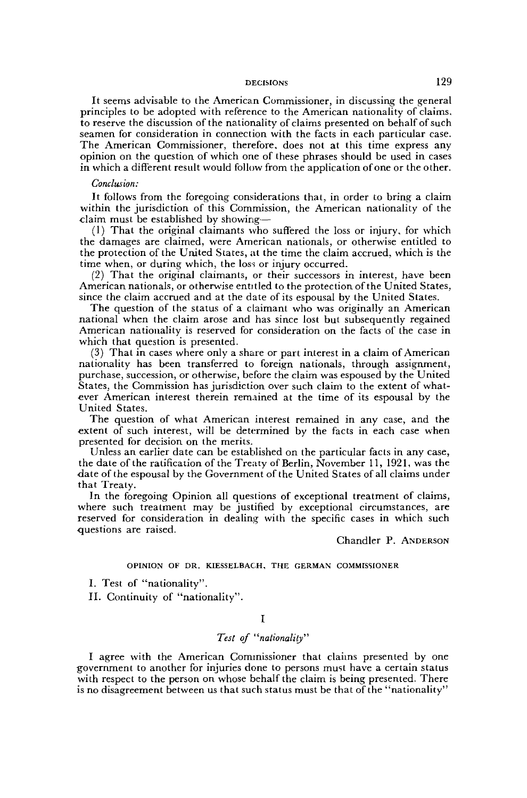It seems advisable to the American Commissioner, in discussing the general principles to be adopted with reference to the American nationality of claims, to reserve the discussion of the nationality of claims presented on behalf of such seamen for consideration in connection with the facts in each particular case. The American Commissioner, therefore, does not at this time express any opinion on the question of which one of these phrases should be used in cases in which a different result would follow from the application of one or the other.

### *Conclusion:*

It follows from the foregoing considerations that, in order to bring a claim within the jurisdiction of this Commission, the American nationality of the claim must be established by showing—

(1) That the original claimants who suffered the loss or injury, for which the damages are claimed, were American nationals, or otherwise entitled to the protection of the United States, at the time the claim accrued, which is the time when, or during which, the loss or injury occurred.

(2) That the original claimants, or their successors in interest, have been American nationals, or otherwise entitled to the protection of the United States, since the claim accrued and at the date of its espousal by the United States.

The question of the status of a claimant who was originally an American national when the claim arose and has since lost but subsequently regained American nationality is reserved for consideration on the facts of the case in which that question is presented.

(3) That in cases where only a share or part interest in a claim of American nationality has been transferred to foreign nationals, through assignment, purchase, succession, or otherwise, before the claim was espoused by the United States, the Commission has jurisdiction over such claim to the extent of whatever American interest therein remained at the time of its espousal by the United States.

The question of what American interest remained in any case, and the extent of such interest, will be determined by the facts in each case when presented for decision on the merits.

Unless an earlier date can be established on the particular facts in any case, the date of the ratification of the Treaty of Berlin, November 11, 1921, was the •date of the espousal by the Government of the United States of all claims under that Treaty.

In the foregoing Opinion all questions of exceptional treatment of claims, where such treatment may be justified by exceptional circumstances, are reserved for consideration in dealing with the specific cases in which such -questions are raised.

Chandler P. ANDERSON

#### OPINION OF DR. KIESSELBACH, THE GERMAN COMMISSIONER

I. Test of "nationality".

II. Continuity of "nationality".

#### I

# *Test of "nationality"*

I agree with the American Commissioner that claims presented by one government to another for injuries done to persons must have a certain status with respect to the person on whose behalf the claim is being presented. There is no disagreement between us that such status must be that of the "nationality"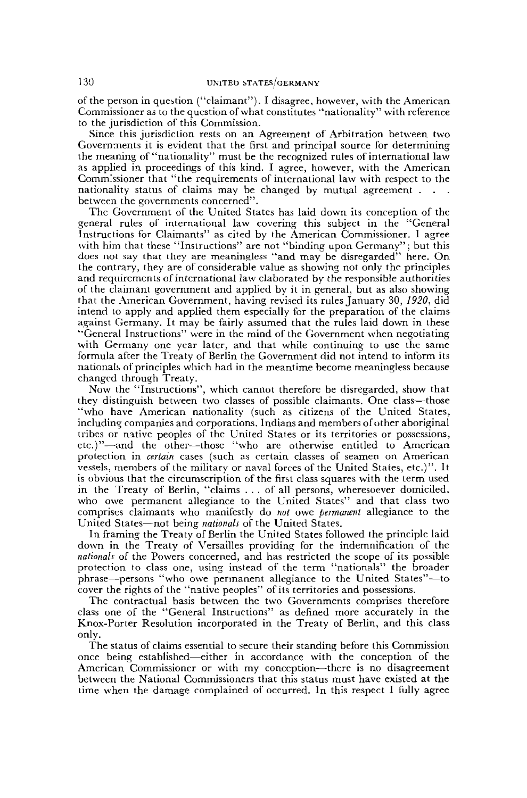of the person in question ("claimant"). I disagree, however, with the American Commissioner as to the question of what constitutes "nationality" with reference to the jurisdiction of this Commission.

Since this jurisdiction rests on an Agreement of Arbitration between two Governments it is evident that the first and principal source for determining the meaning of "nationality" must be the recognized rules of international law as applied in proceedings of this kind. I agree, however, with the American Commissioner that "the requirements of international law with respect to the nationality status of claims may be changed by mutual agreement . between the governments concerned".

The Government of the United States has laid down its conception of the general rules of international law covering this subject in the "General Instructions for Claimants" as cited by the American Commissioner. I agree with him that these "Instructions" are not "binding upon Germany"; but this does not say that they are meaningless "and may be disregarded" here. On the contrary, they are of considerable value as showing not only the principles and requirements of international law elaborated by the responsible authorities of the claimant government and applied by it in general, but as also showing that the American Government, having revised its rules January 30, *1920,* did intend to apply and applied them especially for the preparation of the claims against Germany. It may be fairly assumed that the rules laid down in these "General Instructions" were in the mind of the Government when negotiating with Germany one year later, and that while continuing to use the same formula after the Treaty of Berlin the Government did not intend to inform its nationals of principles which had in the meantime become meaningless because changed through Treaty.

Now the "Instructions", which cannot therefore be disregarded, show that they distinguish between two classes of possible claimants. One class—those "who have American nationality (such as citizens of the United States, including companies and corporations, Indians and members of other aboriginal tribes or native peoples of the United States or its territories or possessions, etc.)"—and the other—those "who are otherwise entitled to American protection in *certain* cases (such as certain classes of seamen on American vessels, members of the military or naval forces of the United States, etc.)". It is obvious that the circumscription of the first class squares with the term used in the Treaty of Berlin, "claims .. . of all persons, wheresoever domiciled, who owe permanent allegiance to the United States" and that class two comprises claimants who manifestly do *not* owe *permanent* allegiance to the United States—not being *nationals* of the United States.

In framing the Treaty of Berlin the United States followed the principle laid down in the Treaty of Versailles providing for the indemnification of the *nationals* of the Powers concerned, and has restricted the scope of its possible protection to class one, using instead of the term "nationals" the broader phrase—persons "who owe permanent allegiance to the United States"—to cover the rights of the "native peoples" of its territories and possessions.

The contractual basis between the two Governments comprises therefore class one of the "General Instructions" as defined more accurately in the Knox-Porter Resolution incorporated in the Treaty of Berlin, and this class only.

The status of claims essential to secure their standing before this Commission once being established—either in accordance with the conception of the American Commissioner or with my conception—there is no disagreement between the National Commissioners that this status must have existed at the time when the damage complained of occurred. In this respect I fully agree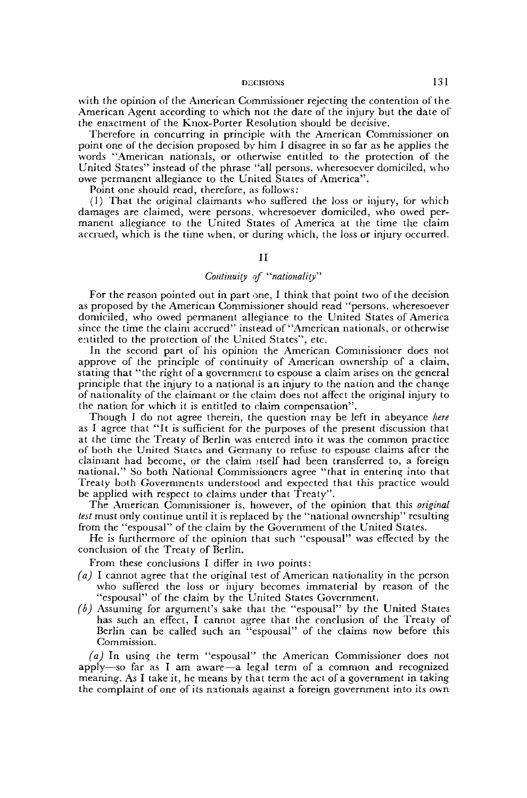with the opinion of the American. Commissioner rejecting the contention of the American Agent according to which not the date of the injury but the date of the enactment of the Knox-Porter Resolution should be decisive.

Therefore in concurring in principle with the American Commissioner on point one of the decision proposed by him I disagree in so far as he applies the words "American nationals, or otherwise entitled to the protection of the United States" instead of the phrase "all persons, wheresoever domiciled, who owe permanent allegiance to the United States of America".

Point one should read, therefore, as follows:

(1) That the original claimants who suffered the loss or injury, for which damages are claimed, were persons, wheresoever domiciled, who owed permanent allegiance to the United States of America at the time the claim accrued, which is the time when, or during which, the loss or injury occurred.

# II

# *Continuity of "nationality"*

For the reason pointed out in part one, I think that point two of the decision as proposed by the American Commissioner should read "persons, wheresoever domiciled, who owed permanent allegiance to the United States of America since the time the claim accrued" instead of "American nationals, or otherwise entitled to the protection of the United States", etc.

In the second part of his opinion the American Commissioner does not approve of the principle of continuity of American ownership of a claim, stating that "the right of a government to espouse a claim arises on the general principle that the injury to a national is an injury to the nation and the change of nationality of the claimant or the claim does not affect the original injury to the nation for which it is entitled to claim compensation".

Though I do not agree therein, the question may be left in abeyance *here* as I agree that "It is sufficient for the purposes of the present discussion that at the time the Treaty of Berlin was entered into it was the common practice of both the United States and Germany to refuse to espouse claims after the claimant had become, or the claim Jtself had been transferred to, a foreign national." So both National Commissioners agree "that in entering into that Treaty both Governments understood and expected that this practice would be applied with respect to claims under that Treaty".

The American Commissioner is, however, of the opinion that this *original test* must only continue until it is replaced by the "national ownership" resulting from the "espousal" of the claim by the Government of the United States.

He is furthermore of the opinion that such "espousal" was effected by the conclusion of the Treaty of Berlin.

From these conclusions I differ in two points:

- *(a)* I cannot agree that the original test of American nationality in the person who suffered the loss or injury becomes immaterial by reason of the "espousal" of the claim by the United States Government.
- *(b)* Assuming for argument's sake that the "espousal" by the United States has such an effect, I cannot agree that the conclusion of the Treaty of Berlin can be called such an "espousal" of the claims now before this Commission.

*(a)* In using the term "espousal" the American Commissioner does not apply—so far as I am aware—a legal term of a common and recognized meaning. As I take it, he means by that term the act of a government in taking the complaint of one of its nationals against a foreign government into its own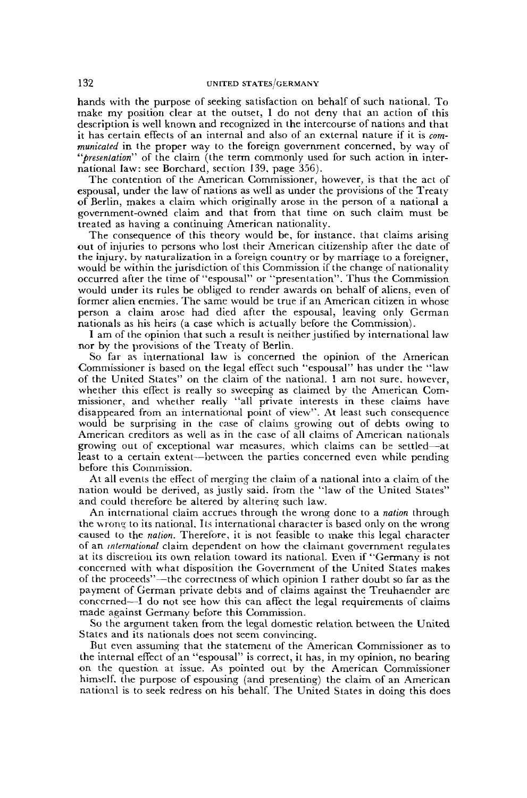hands with the purpose of seeking satisfaction on behalf of such national. To make my position clear at the outset, I do not deny that an action of this description is well known and recognized in the intercourse of nations and that it has certain effects of an internal and also of an external nature if it is *communicated* in the proper way to the foreign government concerned, by way of *"presentation"* of the claim (the term commonly used for such action in international law: see Borchard, section 139, page 356).

The contention of the American Commissioner, however, is that the act of espousal, under the law of nations as well as under the provisions of the Treaty of Berlin, makes a claim which originally arose in the person of a national a government-owned claim and that from that time on such claim must be treated as having a continuing American nationality.

The consequence of this theory would be, for instance, that claims arising out of injuries to persons who lost their American citizenship after the date of the injury, by naturalization in a foreign country or by marriage to a foreigner, would be within the jurisdiction of this Commission if the change of nationality occurred after the time of "espousal" or "presentation". Thus the Commission would under its rules be obliged to render awards on behalf of aliens, even of former alien enemies. The same would be true if an American citizen in whose person a claim arose had died after the espousal, leaving only German nationals as his heirs (a case which is actually before the Commission).

I am of the opinion that such a result is neither justified by international law nor by the provisions of the Treaty of Berlin.

So far as international law is concerned the opinion of the American Commissioner is based on the legal effect such "espousal" has under the "law of the United States" on the claim of the national. I am not sure, however, whether this effect is really so sweeping as claimed by the American Commissioner, and whether really "all private interests in these claims have disappeared from an international point of view". At least such consequence would be surprising in the case of claims growing out of debts owing to American creditors as well as in the case of all claims of American nationals growing out of exceptional war measures, which claims can be settled—at least to a certain extent—between the parties concerned even while pending before this Commission.

At all events the effect of merging the claim of a national into a claim of the nation would be derived, as justly said, from the '"law of the United States" and could therefore be altered by altering such law.

An international claim accrues through the wrong done to a *nation* through the wrong to its national. Its international character is based only on the wrong caused to the *nation.* Therefore, it is not feasible to make this legal character of an *international* claim dependent on how the claimant government regulates at its discretion its own relation toward its national. Even if "Germany is not concerned with what disposition the Government of the United States makes of the proceeds"—the correctness of which opinion I rather doubt so far as the payment of German private debts and of claims against the Treuhaender are concerned—I do not see how this can affect the legal requirements of claims made against Germany before this Commission.

So the argument taken from the legal domestic relation between the United States and its nationals does not seem convincing.

But even assuming that the statement of the American Commissioner as to the internal effect of an "espousal" is correct, it has, in my opinion, no bearing on the question at issue. As pointed out by the American Commissioner himself, the purpose of espousing (and presenting) the claim of an American national is to seek redress on his behalf. The United States in doing this does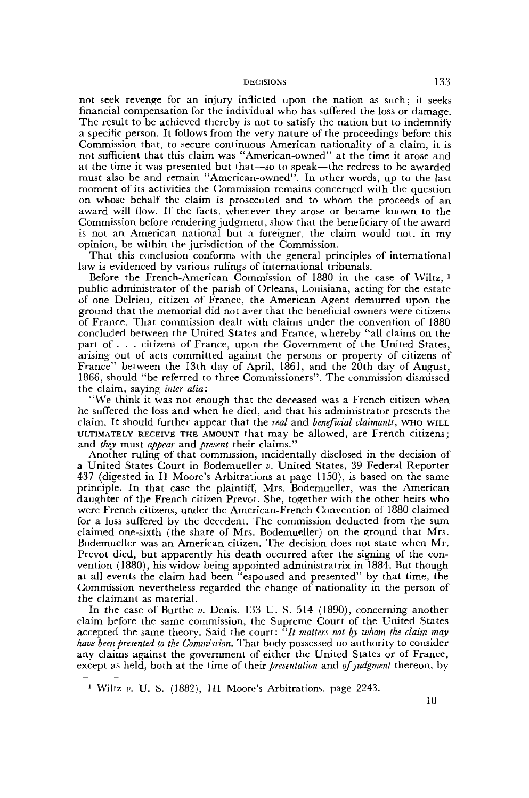not seek revenge for an injury inflicted upon the nation as such; it seeks financial compensation for the individual who has suffered the loss or damage. The result to be achieved thereby is not to satisfy the nation but to indemnify a specific person. It follows from the very nature of the proceedings before this Commission that, to secure continuous American nationality of a claim, it is not sufficient that this claim was "American-owned" at the time it arose and at the time it was presented but that—so to speak—the redress to be awarded must also be and remain "American-owned". In other words, up to the last moment of its activities the Commission remains concerned with the question on whose behalf the claim is prosecuted and to whom the proceeds of an award will flow. If the facts, whenever they arose or became known to the Commission before rendering judgment, show that the beneficiary of the award is not an American national but a foreigner, the claim would not, in my opinion, be within the jurisdiction of the Commission.

That this conclusion conforms with the general principles of international law is evidenced by various rulings of international tribunals.

Before the French-American Commission of 1880 in the case of Wiltz, <sup>1</sup> public administrator of the parish of Orleans, Louisiana, acting for the estate of one Delrieu, citizen of France, the American Agent demurred upon the ground that the memorial did not aver that the beneficial owners were citizens of France. That commission dealt with claims under the convention of 1880 concluded between the United States and France, whereby "all claims on the part of .. . citizens of France, upon the Government of the United States, arising out of acts committed against the persons or property of citizens of France" between the 13th day of April, 1861, and the 20th day of August, 1866, should "be referred to three Commissioners". The commission dismissed the claim, saying *inter alia:*

"We think it was not enough that the deceased was a French citizen when he suffered the loss and when he died, and that his administrator presents the claim. It should further appear that the *real* and *beneficial claimants,* WHO WILL ULTIMATELY RECEIVE THE AMOUNT that may be allowed, are French citizens; and *they* must *appear* and *present* their claims."

Another ruling of that commission, incidentally disclosed in the decision of a United States Court in Bodemueller *v.* United States, 39 Federal Reporter 437 (digested in II Moore's Arbitrations at page 1150), is based on the same principle. In that case the plaintiff, Mrs. Bodemueller, was the American daughter of the French citizen Prevot. She, together with the other heirs who were French citizens, under the American-French Convention of 1880 claimed for a loss suffered by the decedent. The commission deducted from the sum claimed one-sixth (the share of Mrs. Bodemueller) on the ground that Mrs. Bodemueller was an American citizen. The decision does not state when Mr. Prevot died, but apparently his death occurred after the signing of the convention (1880), his widow being appointed administratrix in 1884. But though at all events the claim had been "espoused and presented" by that time, the Commission nevertheless regarded the change of nationality in the person of the claimant as material.

In the case of Burthe *v.* Denis, 133 U. S. 514 (1890), concerning another claim before the same commission, ihe Supreme Court of the United States accepted the same theory. Said the court: *"It matters not by whom the claim may have been presented to the Commission.* That body possessed no authority to consider any claims against the government of either the United States or of France, except as held, both at the time of their *presentation* and *of judgment* thereon, by

10

<sup>&</sup>lt;sup>1</sup> Wiltz v. U. S. (1882), III Moore's Arbitrations, page 2243.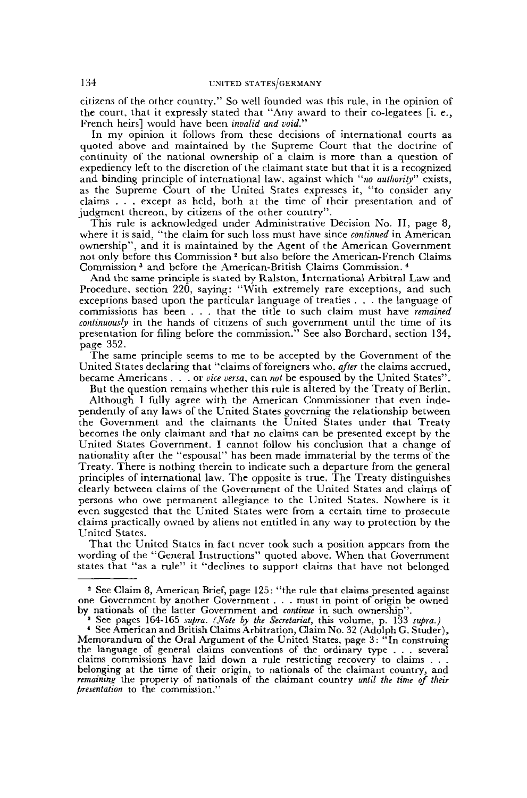citizens of the other country." So well founded was this rule, in the opinion of the court, that it expressly stated that "Any award to their co-legatees [i. e., French heirs] would have been *invalid and void."*

In my opinion it follows from these decisions of international courts as quoted above and maintained by the Supreme Court that the doctrine of continuity of the national ownership of a claim is more than a question of expediency left to the discretion of the claimant state but that it is a recognized and binding principle of international law, against which "*no authority*" exists, as the Supreme Court of the United States expresses it, "to consider any claims . . . except as held, both at the time of their presentation and of judgment thereon, by citizens of the other country".

This rule is acknowledged under Administrative Decision No. II, page 8, where it is said, "the claim for such loss must have since *continued* in American ownership", and it is maintained by the Agent of the American Government not only before this Commission<sup>2</sup> but also before the American-French Claims Commission <sup>3</sup> and before the American-British Claims Commission. 4

And the same principle is stated by Ralston, International Arbitral Law and Procedure, section 220, saying: "With extremely rare exceptions, and such exceptions based upon the particular language of treaties . . . the language of commissions has been . . . that the title to such claim must have *remained continuously* in the hands of citizens of such government until the time of its presentation for filing before the commission." See also Borchard, section 134. page 352.

The same principle seems to me to be accepted by the Government of the United States declaring that "claims of foreigners who, *after* the claims accrued, became Americans . . .or *vice versa,* can *not* be espoused by the United States".

But the question remains whether this rule is altered by the Treaty of Berlin. Although I fully agree with the American Commissioner that even independently of any laws of the United States governing the relationship between the Government and the claimants the United States under that Treaty becomes the only claimant and that no claims can be presented except by the United States Government. I cannot follow his conclusion that a change of nationality after the "espousal" has been made immaterial by the terms of the Treaty. There is nothing therein to indicate such a departure from the general principles of international law. The opposite is true. The Treaty distinguishes clearly between claims of the Government of the United States and claims of persons who owe permanent allegiance to the United States. Nowhere is it even suggested that the United States were from a certain time to prosecute claims practically owned by aliens not entitled in any way to protection by the United States.

That the United States in fact never took such a position appears from the wording of the "General Instructions" quoted above. When that Government states that "as a rule" it "declines to support claims that have not belonged

*<sup>-</sup>* See Claim 8, American Brief, page 125: "the rule that claims presented against one Government by another Government . . . must in point of origin be owned by nationals of the latter Government and *continue* in such, ownership".

<sup>3</sup> See pages 164-165 *supra. (Note by the Secretariat,* this volume, p. 133 *supra.)*

<sup>4</sup> See American and British Claims Arbitration, Claim No. 32 (Adolph G. Studer), Memorandum of the Oral Argument of the United States, page 3: "In construing the language of general claims conventions of the ordinary type . . . several claims commissions have laid down a rule restricting recovery to claims . . . belonging at the time of their origin, to nationals of the claimant country, and *remaining* the property of nationals of the claimant country *until the time of their presentation* to the commission."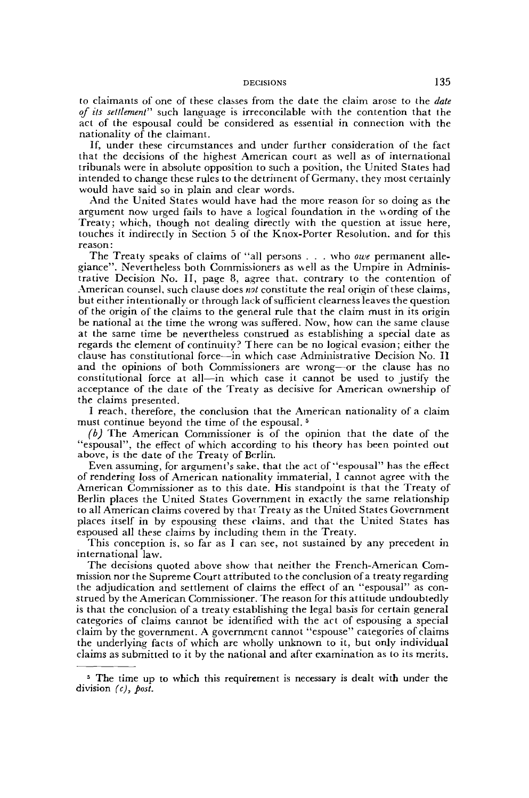to claimants of one of these classes from the date the claim arose to the *date of its settlement"* such language is irreconcilable with the contention that the act of the espousal could be considered as essential in connection with the nationality of the claimant.

If, under these circumstances and under further consideration of the fact that the decisions of the highest American court as well as of international tribunals were in absolute opposition to such a position, the United States had intended to change these rules to the detriment of Germany, they most certainly would have said so in plain and clear words.

And the United States would have had the more reason for so doing as the argument now urged fails to have a logical foundation in the wording of the Treaty; which, though not dealing directly with the question at issue here, touches it indirectly in Section 5 of the Knox-Porter Resolution, and for this reason :

The Treaty speaks of claims of "all persons . . . who *owe* permanent allegiance". Nevertheless both Commissioners as well as the Umpire in Administrative Decision No. II, page 8, agree that, contrary to the contention of American counsel, such clause does *not* constitute the real origin of these claims, but either intentionally or through lack of sufficient clearness leaves the question of the origin of the claims to the general rule that the claim must in its origin be national at the time the wrong was suffered. Now, how can the same clause at the same time be nevertheless construed as establishing a special date as regards the element of continuity? There can be no logical evasion; either the clause has constitutional force—in which case Administrative Decision No. II and the opinions of both Commissioners are wrong—or the clause has no constitutional force at all—in which case it cannot be used to justify the acceptance of the date of the Treaty as decisive for American ownership of the claims presented.

I reach, therefore, the conclusion that the American nationality of a claim must continue beyond the time of the espousal.<sup>5</sup>

*(b)* The American Commissioner is of the opinion that the date of the "espousal", the effect of which according to his theory has been pointed out above, is the date of the Treaty of Berlin.

Even assuming, for argument's sake, that the act of''espousal" has the effect of rendering loss of American nationality immaterial, I cannot agree with the American Commissioner as to this date. His standpoint is that the Treaty of Berlin places the United States Government in exactly the same relationship to all American claims covered by that Treaty as the United States Government places itself in by espousing these claims, and that the United States has espoused all these claims by including them in the Treaty.

This conception is, so far as I can see, not sustained by any precedent in international law.

The decisions quoted above show that neither the French-American Commission nor the Supreme Court attributed to the conclusion of a treaty regarding the adjudication and settlement of claims the effect of an "espousal" as construed by the American Commissioner. The reason for this attitude undoubtedly is that the conclusion of a treaty establishing the legal basis for certain general categories of claims cannot be identified with the act of espousing a special claim by the government. A government cannot "espouse" categories of claims the underlying facts of which are wholly unknown to it, but only individual claims as submitted to it by the national and after examination as to its merits.

<sup>&</sup>lt;sup>5</sup> The time up to which this requirement is necessary is dealt with under the division *(c), post.*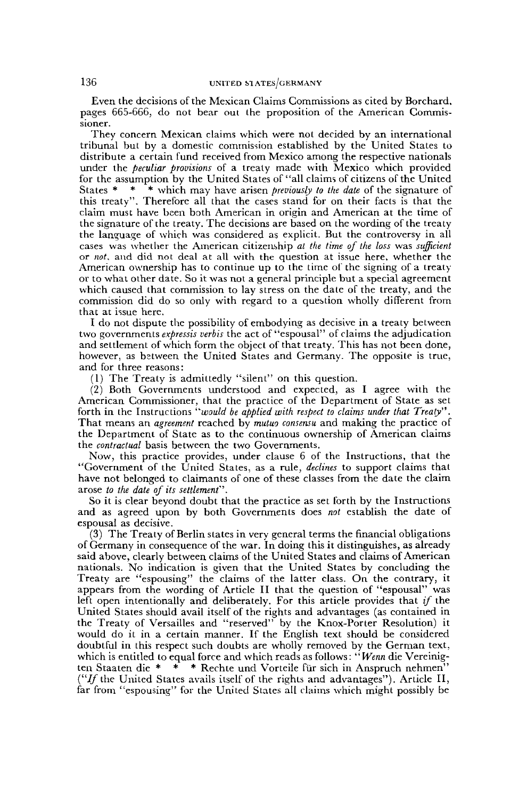Even the decisions of the Mexican Claims Commissions as cited by Borchard, pages 665-666, do not bear out the proposition of the American Commissioner.

They concern Mexican claims which were not decided by an international tribunal but by a domestic commission established by the United States to distribute a certain fund received from Mexico among the respective nationals under the *peculiar provisions* of a treaty made with Mexico which provided for the assumption by the United States of "all claims of citizens of the United States \* \* \* which may have arisen *previously to the date* of the signature of this treaty". Therefore all that the cases stand for on their facts is that the claim must have been both American in origin and American at the time of the signature of the treaty. The decisions are based on the wording of the treaty the language of which was considered as explicit. But the controversy in all cases was whether the American citizenship *at the time of the loss* was *sufficient* or *not,* and did not deal at all with the question at issue here, whether the American ownership has to continue up to the time of the signing of a treaty or to what other date. So it was not a general principle but a special agreement which caused that commission to lay stress on the date of the treaty, and the commission did do so only with regard to a question wholly different from that at issue here.

I do not dispute the possibility of embodying as decisive in a treaty between two governments *expressis verbis* the act of "espousal" of claims the adjudication and settlement of which form the object of that treaty. This has not been done, however, as between the United States and Germany. The opposite is true, and for three reasons:

(1) The Treaty is admittedly "silent" on this question.

(2) Both Governments understood and expected, as I agree with the American Commissioner, that the practice of the Department of State as set forth in the Instructions *"would be applied with respect to claims under that Treaty".* That means an *agreement* reached by *mutuo consensu* and making the practice of the Department of State as to the continuous ownership of American claims the *contractual* basis between the two Governments.

Now, this practice provides, under clause 6 of the Instructions, that the "Government of the United States, as a rule, *declines* to support claims that have not belonged to claimants of one of these classes from the date the claim arose *to the date of its settlement''.*

So it is clear beyond doubt that the practice as set forth by the Instructions and as agreed upon by both Governments does *not* establish the date of espousal as decisive.

(3) The Treaty of Berlin states in very general terms the financial obligations of Germany in consequence of the war. In doing this it distinguishes, as already said above, clearly between claims of the United States and claims of American nationals. No indication is given that the United States by concluding the Treaty are "espousing" the claims of the latter class. On the contrary, it appears from the wording of Article II that the question of "espousal" was left open intentionally and deliberately. For this article provides that *if* the United States should avail itself of the rights and advantages (as contained in the Treaty of Versailles and "reserved" by the Knox-Porter Resolution) it would do it in a certain manner. If the English text should be considered doubtful in this respect such doubts are wholly removed by the German text, which is entitled to equal force and which reads as follows: "*Wenn* die Vereinig-<br>ten Staaten die \* \* \* Rechte und Vorteile für sich in Anspruch nehmen" ten Staaten die \* \* \* Rechte und Vorteile für sich in Anspruch nehmen" ("If the United States avails itself of the rights and advantages"). Article II, far from "espousing" for the United States all claims which might possibly be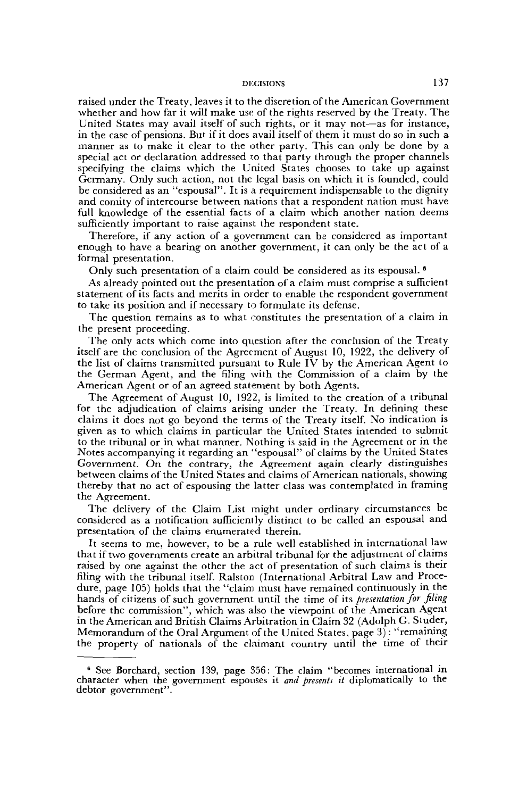raised under the Treaty, leaves it to the discretion of the American Government whether and how far it will make use of the rights reserved by the Treaty. The United States may avail itself of such rights, or it may not—as for instance, in the case of pensions. But if it does avail itself of them it must do so in such a manner as to make it clear to the other party. This can only be done by a special act or declaration addressed to that party through the proper channels specifying the claims which the United States chooses to take up against Germany. Only such action, not the legal basis on which it is founded, could be considered as an "espousal". It is a requirement indispensable to the dignity and comity of intercourse between nations that a respondent nation must have full knowledge of the essential facts of a claim which another nation deems sufficiently important to raise against the respondent state.

Therefore, if any action of a government can be considered as important enough to have a bearing on another government, it can only be the act of a formal presentation.

Only such presentation of a claim could be considered as its espousal.<sup>6</sup>

As already pointed out the presentation of a claim must comprise a sufficient statement of its facts and merits in order to enable the respondent government to take its position and if necessary to formulate its defense.

The question remains as to what constitutes the presentation of a claim in the present proceeding.

The only acts which come into question after the conclusion of the Treaty itself are the conclusion of the Agreement of August 10, 1922, the delivery of the list of claims transmitted pursuant to Rule IV by the American Agent to the German Agent, and the filing with the Commission of a claim by the American Agent or of an agreed statement by both Agents.

The Agreement of August 10, 1922, is limited to the creation of a tribunal for the adjudication of claims arising under the Treaty. In defining these claims it does not go beyond the terms of the Treaty itself. No indication is given as to which claims in particular the United States intended to submit to the tribunal or in what manner. Nothing is said in the Agreement or in the Notes accompanying it regarding an "espousal" of claims by the United States Government. On the contrary, the Agreement again clearly distinguishes between claims of the United States and claims of American nationals, showing thereby that no act of espousing the latter class was contemplated in framing the Agreement.

The delivery of the Claim List might under ordinary circumstances be considered as a notification sufficienily distinct to be called an espousal and presentation of the claims enumerated therein.

It seems to me, however, to be a rule well established in international law that if two governments create an arbitral tribunal for the adjustment ol claims raised by one against the other the act of presentation of such claims is their filing with the tribunal itself. Ralston (International Arbitral Law and Procedure, page 105) holds that the "claim must have remained continuously in the hands of citizens of such government until the time of its *presentation for filing* before the commission", which was also the viewpoint of the American Agent in the American and British Claims Arbitration in Claim 32 (Adolph G. Studer, Memorandum of the Oral Argument of the United States, page 3) : "remaining the property of nationals of the claimant country until the time of their

<sup>6</sup> See Borchard, section 139, page 356: The claim "becomes international in character when the government espouses it *and presents it* diplomatically to the debtor government".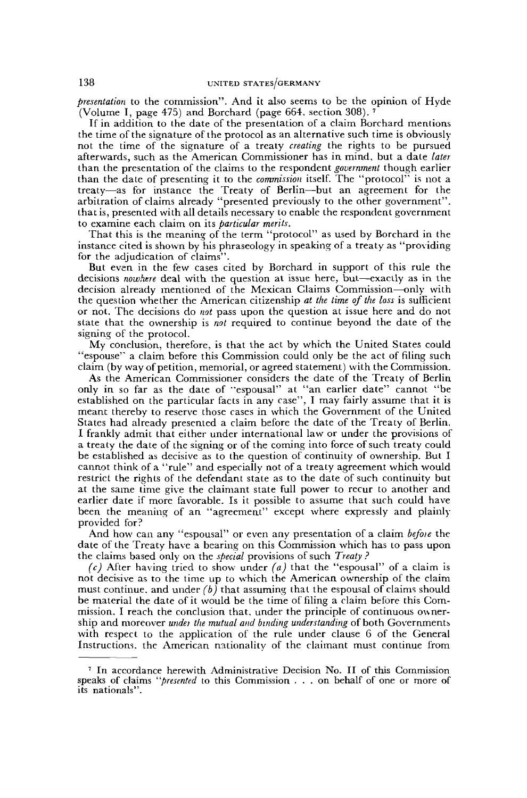*presentation* to the commission". And it also seems to be the opinion of Hyde (Volume I, page 475) and Borchard (page 664, section 308).

If in addition to the date of the presentation of a claim Borchard mentions the time of the signature of the protocol as an alternative such time is obviously not the time of the signature of a treaty *creating* the rights to be pursued afterwards, such as the American Commissioner has in mind, but a date *later* than the presentation of the claims to the respondent *government* though earlier than the date of presenting it to the *commission* itself. The "protocol" is not a treaty—as for instance the Treaty of Berlin—but an agreement for the arbitration of claims already "presented previously to the other government", that is, presented with all details necessary to enable the respondent government to examine each claim on its *particular merits.*

That this is the meaning of the term "protocol" as used by Borchard in the instance cited is shown by his phraseology in speaking of a treaty as "providing for the adjudication of claims".

But even in the few cases cited by Borchard in support of this rule the decisions *nowhere* deal with the question at issue here, but—exactly as in the decision already mentioned of the Mexican Claims Commission—only with the question whether the American citizenship *at the time of the loss* is sufficient or not. The decisions do *not* pass upon the question at issue here and do not state that the ownership is *not* required to continue beyond the date of the signing of the protocol.

My conclusion, therefore, is that the act by which the United States could "espouse" a claim before this Commission could only be the act of filing such claim (by way of petition, memorial, or agreed statement) with the Commission.

As the American Commissioner considers the date of the Treaty of Berlin only in so far as the date of "espousal" at "an earlier date" cannot "be established on the particular facts in any case", I may fairly assume that it is meant thereby to reserve those cases in which the Government of the United States had already presented a claim before the date of the Treaty of Berlin. I frankly admit that either under international law or under the provisions of a treaty the date of the signing or of the coming into force of such treaty could be established as decisive as to the question of continuity of ownership. But I cannot think of a "rule" and especially not of a treaty agreement which would restrict the rights of the defendant state as to the date of such continuity but at the same time give the claimant state full power to recur to another and earlier date if more favorable. Is it possible to assume that such could have been the meaning of an "agreement" except where expressly and plainly provided for?

And how can any "espousal" or even any presentation of a claim *befoie* the date of the Treaty have a bearing on this Commission which has to pass upon the claims based only on the *special* provisions of such *Treaty ?*

*(c)* After having tried to show under *(a)* that the "espousal" of a claim is not decisive as to the time up to which the American ownership of the claim must continue, and under *(b)* that assuming that the espousal of claims should be material the date of it would be the time of filing a claim before this Commission, I reach the conclusion that, under the principle of continuous ownership and moreover *under the mutual and binding understanding* of both Governments with respect to the application of the rule under clause 6 of the General Instructions, the American nationality of the claimant must continue from

<sup>7</sup> In accordance herewith Administrative Decision No. II of this Commission speaks of claims *"presented* to this Commission .. . on behalf of one or more of its nationals".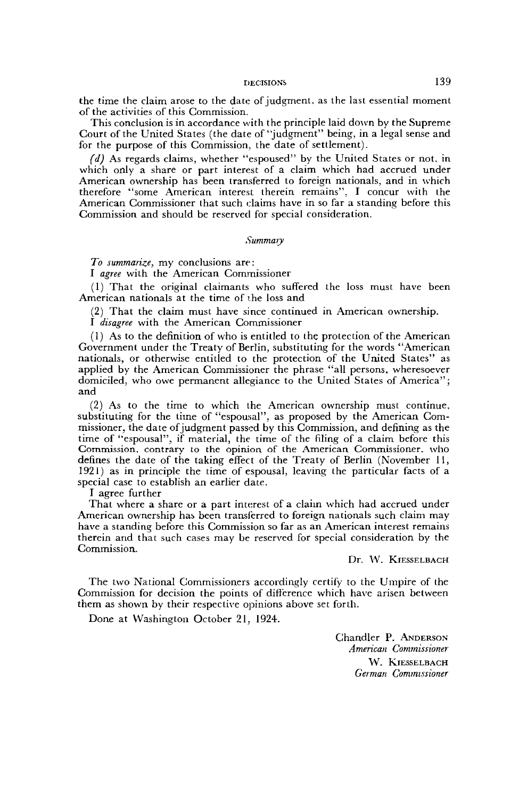the time the claim arose to the date of judgment, as the last essential moment of the activities of this Commission.

This conclusion is in accordance with the principle laid down by the Supreme Court of the United States (the date of "judgment" being, in a legal sense and for the purpose of this Commission, the date of settlement).

*(d)* As regards claims, whether "espoused" by the United States or not. in which only a share or part interest of a claim which had accrued under American ownership has been transferred to foreign nationals, and in which therefore "some American interest therein remains". I concur with the American Commissioner that such claims have in so far a standing before this Commission and should be reserved for special consideration.

#### *Summary*

*To summarize,* my conclusions are:

I *agree* with the American Commissioner

(1) That the original claimants who suffered the loss must have been American nationals at the time of the loss and

(2) That the claim must have since continued in American ownership.

I *disagree* with the American Commissioner

(1) As to the definition of who is entitled to the protection of the American Government under the Treaty of Berlin, substituting for the words "American nationals, or otherwise entitled to the protection of the United States" as applied by the American Commissioner the phrase "all persons, wheresoever domiciled, who owe permanent allegiance to the United States of America"; and

(2) As to the time to which the American ownership must continue, substituting for the time of "espousal", as proposed by the American Commissioner, the date of judgment passed by this Commission, and defining as the time of "espousal", if material, the time of the filing of a claim before this Commission, contrary to the opinion of the American Commissioner, who defines the date of the taking effect of the Treaty of Berlin (November 11, 1921) as in principle the time of espousal, leaving the particular facts of a special case to establish an earlier date.

I agree further

That where a share or a part interest of a claim which had accrued under American ownership has been transferred to foreign nationals such claim may have a standing before this Commission so far as an American interest remains therein and that such cases may be reserved for special consideration by the Commission.

Dr. W. KIESSELBACH

The two National Commissioners accordingly certify to the Umpire of the Commission for decision the points of difference which have arisen between them as shown by their respective opinions above set forth.

Done at Washington October 21, 1924.

Chandler P. ANDERSON *American Commissioner* W. KIESSELBACH *German Commissioner*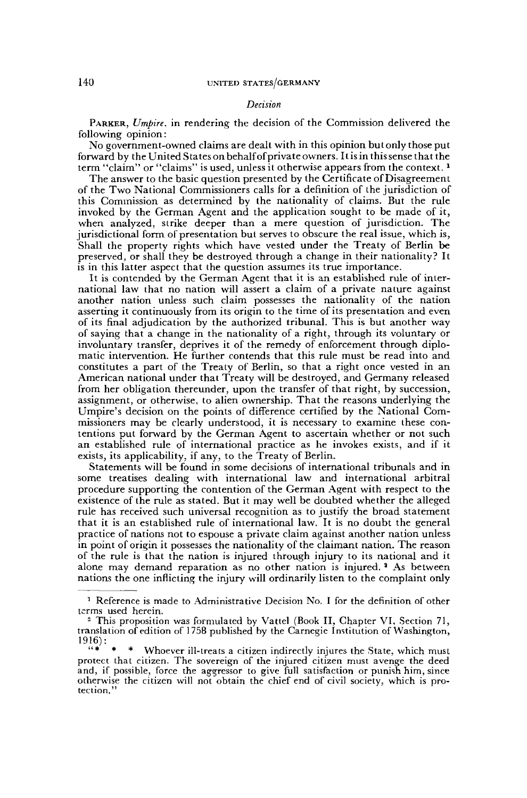#### *Decision*

PARKER, *Umpire,* in rendering the decision of the Commission delivered the following opinion:

No government-owned claims are dealt with in this opinion but only those put forward by the United States on behalf of private owners. It is in this sense that the term "claim" or "claims" is used, unless it otherwise appears from the context.  *1*

The answer to the basic question presented by the Certificate of Disagreement of the Two National Commissioners calls for a definition of the jurisdiction of this Commission as determined by the nationality of claims. But the rule invoked by the German Agent and the application sought to be made of it, when analyzed, strike deeper than a mere question of jurisdiction. The jurisdictional form of presentation but serves to obscure the real issue, which is, Shall the property rights which have vested under the Treaty of Berlin be preserved, or shall they be destroyed through a change in their nationality? It is in this latter aspect that the question assumes its true importance.

It is contended by the German Agent that it is an established rule of international law that no nation will assert a claim of a private nature against another nation unless such claim possesses the nationality of the nation asserting it continuously from its origin to the time of its presentation and even of its final adjudication by the authorized tribunal. This is but another way of saying that a change in the nationality of a right, through its voluntary or involuntary transfer, deprives it of the remedy of enforcement through diplomatic intervention. He further contends that this rule must be read into and constitutes a part of the Treaty of Berlin, so that a right once vested in an American national under that Treaty will be destroyed, and Germany released from her obligation thereunder, upon the transfer of that right, by succession, assignment, or otherwise, to alien ownership. That the reasons underlying the Umpire's decision on the points of difference certified by the National Commissioners may be clearly understood, it is necessary to examine these contentions put forward by the German Agent to ascertain whether or not such an established rule of international practice as he invokes exists, and if it exists, its applicability, if any, to the Treaty of Berlin.

Statements will be found in some decisions of international tribunals and in some treatises dealing with international law and international arbitral procedure supporting the contention of the German Agent with respect to the existence of the rule as stated. But it may well be doubted whether the alleged rule has received such universal recognition as to justify the broad statement that it is an established rule of international law. It is no doubt the general practice of nations not to espouse a private claim against another nation unless in point of origin it possesses the nationality of the claimant nation. The reason of the rule is that the nation is injured through injury to its national and it alone may demand reparation as no other nation is injured.<sup>3</sup> As between nations the one inflicting the injury will ordinarily listen to the complaint only

<sup>&</sup>lt;sup>1</sup> Reference is made to Administrative Decision No. I for the definition of other terms used herein.

<sup>2</sup> This proposition was formulated by Vattel (Book II, Chapter VI, Section 71, translation of edition of 1758 published by the Carnegie Institution of Washington, 1916):

Whoever ill-treats a citizen indirectly injures the State, which must protect that citizen. The sovereign of the injured citizen must avenge the deed and, if possible, force the aggressor to give full satisfaction or punish him, since otherwise the citizen will not obtain the chief end of civil society, which is protection."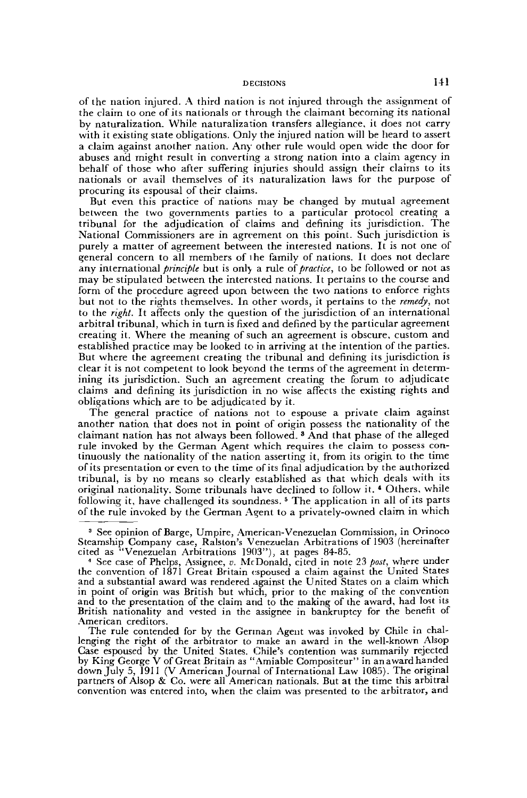of the nation injured. A third nation is not injured through the assignment of the claim to one of its nationals or through the claimant becoming its national by naturalization. While naturalization transfers allegiance, it does not carry with it existing state obligations. Only the injured nation will be heard to assert a claim against another nation. Any other rule would open wide the door for abuses and might result in converting a strong nation into a claim agency in behalf of those who after suffering injuries should assign their claims to its nationals or avail themselves of its naturalization laws for the purpose of procuring its espousal of their claims.

But even this practice of nations may be changed by mutual agreement between the two governments parties to a particular protocol creating a tribunal for the adjudication of claims and denning its jurisdiction. The National Commissioners are in agreement on this point. Such jurisdiction is purely a matter of agreement between the interested nations. It is not one of general concern to all members of lhe family of nations. It does not declare any international *principle* but is only a rule of *practice,* to be followed or not as may be stipulated between the interested nations. It pertains to the course and form of the procedure agreed upon between the two nations to enforce rights but not to the rights themselves. In other words, it pertains to the *remedy,* not to the *right.* It affects only the question of the jurisdiction of an international arbitral tribunal, which in turn is fixed and defined by the particular agreement creating it. Where the meaning of such an agreement is obscure, custom and established practice may be looked to in arriving at the intention of the parties. But where the agreement creating the tribunal and defining its jurisdiction is clear it is not competent to look beyond the terms of the agreement in determining its jurisdiction. Such an agreement creating the forum to adjudicate claims and defining its jurisdiction in no wise affects the existing rights and obligations which are to be adjudicated by it.

The general practice of nations not to espouse a private claim against another nation that does not in point of origin possess the nationality of the claimant nation has not always been followed. <sup>3</sup> And that phase of the alleged rule invoked by the German Agent which requires the claim to possess continuously the nationality of the nation asserting it, from its origin to the time of its presentation or even to the time of its final adjudication by the authorized tribunal, is by no means so clearly established as that which deals with its original nationality. Some tribunals have declined to follow it. \* Others, while following it, have challenged its soundness.<sup>5</sup> The application in all of its parts of the rule invoked by the German Agent to a privately-owned claim in which

<sup>3</sup> See opinion of Barge, Umpire, American-Venezuelan Commission, in Orinoco Steamship Company case, Ralston's Venezuelan Arbitrations of 1903 (hereinafter cited as "Venezuelan Arbitrations 1903"), at pages 84-85.

*<sup>1</sup>* See case of Phelps, Assignee, *v.* McDonald, cited in note 23 *post,* where under the convention of 1871 Great Britain espoused a claim against the United States and a substantial award was rendered against the United States on a claim which in point of origin was British but which, prior to the making of the convention and to the presentation of the claim and to the making of the award, had lost its British nationality and vested in the assignee in bankruptcy for the benefit of American creditors.

The rule contended for by the German Agent was invoked by Chile in challenging the right of the arbitrator to make an award in the well-known Alsop Case espoused by the United States. Chile's contention was summarily rejected by King George V of Great Britain as "Amiable Compositeur" in an award handed down July 5, 1911 (V American Journal of International Law 1085). The original partners of Alsop & Co. were all American nationals. But at the time this arbitral convention was entered into, when the claim was presented to the arbitrator, and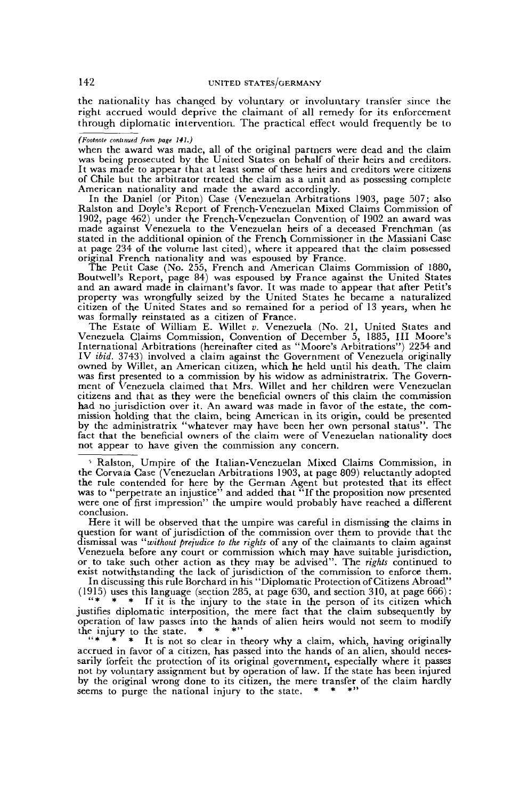the nationality has changed by voluntary or involuntary transfer since the right accrued would deprive the claimant of all remedy for its enforcement through diplomatic intervention. The practical effect would frequently be to

#### *(Footnote continued from page 141.)*

when the award was made, all of the original partners were dead and the claim was being prosecuted by the United States on behalf of their heirs and creditors. It was made to appear that at least some of these heirs and creditors were citizens of Chile but the arbitrator treated the claim as a unit and as possessing complete American nationality and made the award accordingly.

In the Daniel (or Piton) Case (Venezuelan Arbitrations 1903, page 507; also Ralston and Doyle's Report of French-Venezuelan Mixed Claims Commission of 1902, page 462) under the French-Venezuelan Convention of 1902 an award was made against Venezuela to the Venezuelan heirs of a deceased Frenchman (as stated in the additional opinion of the French Commissioner in the Massiani Case at page 234 of the volume last cited), where it appeared that the claim possessed original French nationality and was espoused by France.

The Petit Case (No. 255, French and American Claims Commission of 1880, Boutwell's Report, page 84) was espoused by France against the United States and an award made in claimant's favor. It was made to appear that after Petit's property was wrongfully seized by the United States he became a naturalized citizen of the United States and so remained for a period of 13 years, when he was formally reinstated as a citizen of France.

The Estate of William E. Willet *v.* Venezuela (No. 21, United States and Venezuela Claims Commission, Convention of December 5, 1885, III Moore's International Arbitrations (hereinafter cited as "Moore's Arbitrations") 2254 and IV *ibid.* 3743) involved a claim against the Government of Venezuela originally owned by Willet, an American citizen, which he held until his death. The claim was first presented to a commission by his widow as administratrix. The Government of Venezuela claimed that Mrs. Willet and her children were Venezuelan citizens and that as they were the beneficial owners of this claim the commission had no jurisdiction over it. An award was made in favor of the estate, the commission holding that the claim, being American in its origin, could be presented by the administratrix "whatever may have been her own personal status". The fact that the beneficial owners of the claim were of Venezuelan nationality does not appear to have given the commission any concern.

5 Ralston, Umpire of the Italian-Venezuelan Mixed Claims Commission, in the Corvaia Case (Venezuelan Arbitrations 1903, at page 809) reluctantly adopted the rule contended for here by the German Agent but protested that its effect was to "perpetrate an injustice" and added that "If the proposition now presented were one of first impression" the umpire would probably have reached a different conclusion.

Here it will be observed that the umpire was careful in dismissing the claims in question for want of jurisdiction of the commission over them to provide that the dismissal was *"without prejudice to the rights* of any of the claimants to claim against Venezuela before any court or commission which may have suitable jurisdiction, or to take such other action as they may be advised". The *rights* continued to exist notwithstanding the lack of jurisdiction of the commission to enforce them.

In discussing this rule Borchard in his "Diplomatic Protection of Citizens Abroad" (1915) uses this language (section 285, at page 630, and section 310, at page 666):<br>"\* \* \* If it is the injury to the state in the parson of its citizen which

"\* \* \* If it is the injury to the state in the person of its citizen which justifies diplomatic interposition, the mere fact that the claim subsequently by operation of law passes into the hands of alien heirs would not seem to modify the injury to the state.  $*$ <br>" $*$  \*  $*$  It is not so c

It is not so clear in theory why a claim, which, having originally accrued in favor of a citizen, has passed into the hands of an alien, should necessarily forfeit the protection of its original government, especially where it passes not by voluntary assignment but by operation of law. If the state has been injured by the original wrong done to its citizen, the mere transfer of the claim hardly seems to purge the national injury to the state.  $* * * "$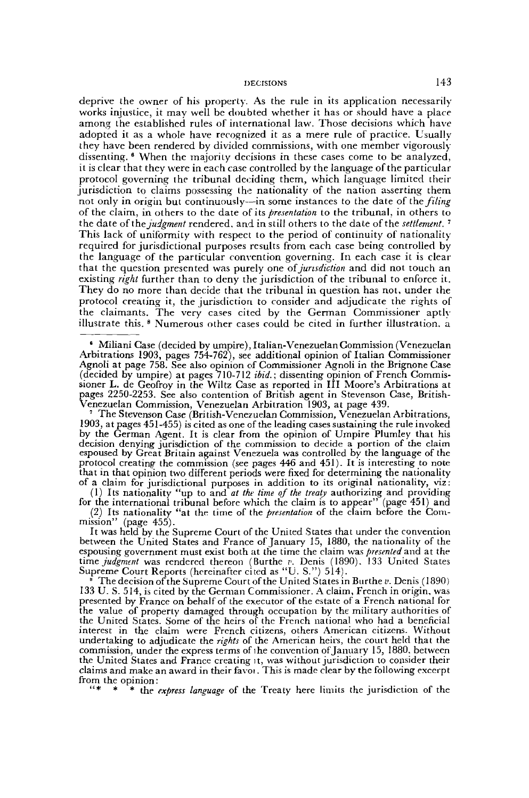deprive the owner of his property. As the rule in its application necessarily works injustice, it may well be doubted whether it has or should have a place among the established rules of international law. Those decisions which have adopted it as a whole have recognized it as a mere rule of practice. Usually they have been rendered by divided commissions, with one member vigorously dissenting. <sup>6</sup> When the majority decisions in these cases come to be analyzed, it is clear that they were in each case controlled by the language of the particular protocol governing the tribunal deciding them, which language limited their jurisdiction to claims possessing the nationality of the nation asserting them not only in origin but continuously—in some instances to the date of the *filing* of the claim, in others to the date of its *presentation* to the tribunal, in others to the date ofthe *judgment* rendered, and in still others to the date of the *settlement.*<sup>7</sup> This lack of uniformity with respect to the period of continuity of nationality required for jurisdictional purposes results from each case being controlled by the language of the particular convention governing. In each case it is clear that the question presented was purely one *of jurisdiction* and did not touch an existing *right* further than to deny the jurisdiction of the tribunal to enforce it. They do no more than decide that the tribunal in question has not, under the protocol creating it, the jurisdiction to consider and adjudicate the rights of the claimants. The very cases cited by the German Commissioner aptly illustrate this. <sup>8</sup> Numerous other cases could be cited in further illustration, a

Venezuelan Commission, Venezuelan Arbitration 1903, at page 439. 7 The Stevenson Case (British-Venezuelan Commission, Venezuelan Arbitrations, 1903, at pages 451-455) is cited as one of the leading cases sustaining the rule invoked by the German Agent. It is clear from the opinion of Umpire Plumley that his decision denying jurisdiction of the commission to decide a portion of the claim espoused by Great Britain against Venezuela was controlled by the language of the protocol creating the commission (see pages 446 and 451). It is interesting to note that in that opinion two different periods were fixed for determining the nationality of a claim for jurisdictional purposes in addition to its original nationality, viz:

(1) Its nationality "up to and *at the time of the treaty* authorizing and providing for the international tribunal before which the claim is to appear" (page 451) and

(2) Its nationality "at the time of the *presentation* of the claim before the Com- $'$  (page 455).

It was held by the Supreme Court of the United States that under the convention between the United States and France of January 15, 1880, the nationality of the espousing government must exist both at the time the claim was *presented* and at the *time judgment* was rendered thereon (Burthe *v.* Denis (1890), 133 United States Supreme Court Reports (hereinafter cited as "U. S.") 514).

The decision of the Supreme Court of the United States in Burthe  $v$ . Denis (1890) 133 U. S. 514, is cited by the German Commissioner. A claim, French in origin, was presented by France on behalf of the executor of the estate of a French national for the value of property damaged through occupation by the military authorities of the United States. Some of the heirs of the French national who had a beneficial interest in the claim were French citizens, others American citizens. Without undertaking to adjudicate the *rights* of the American heirs, the court held that the commission, under the express terms of ihe convention of January 15, 1880, between the United States and France creating it, was without jurisdiction to consider their claims and make an award in their favoi. This is made clear by the following excerpt from the opinion:

\* the express language of the Treaty here limits the jurisdiction of the

<sup>&#</sup>x27; Miliani Case (decided by umpire), Italian-Venezuelan Commission (Venezuelan Arbitrations 1903, pages 754-762), see additional opinion of Italian Commissioner Agnoli at page 758. See also opinion of Commissioner Agnoli in the Brignone Case (decided by umpire) at pages 710-712 *ibid.;* dissenting opinion of French Commissioner L. de Geofroy in the Wiltz Case as reported in III Moore's Arbitrations at pages 2250-2253. See also contention of British agent in Stevenson Case, British-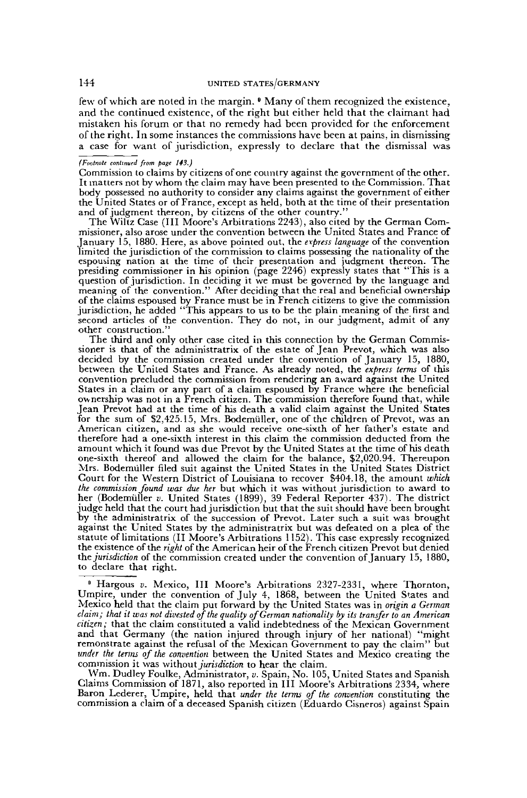few of which are noted in the margin. <sup>9</sup> Many of them recognized the existence, and the continued existence, of the right but either held that the claimant had mistaken his forum or that no remedy had been provided for the enforcement of the right. In some instances the commissions have been at pains, in dismissing a case for want of jurisdiction, expressly to declare that the dismissal was

#### *(Footnote continued from page 143.)*

Commission to claims by citizens of one country against the government of the other. It matters not by whom the claim may have been presented to the Commission. That body possessed no authority to consider any claims against the government of either the United States or of France, except as held, both at the time of their presentation and of judgment thereon, by citizens of the other country."

The Wiltz Case (III Moore's Arbitrations 2243), also cited by the German Commissioner, also arose under the convention between the United States and France of January 15, 1880. Here, as above pointed out, the *express language* of the convention limited the jurisdiction of the commission to claims possessing the nationality of the espousing nation at the time of their presentation and judgment thereon. The presiding commissioner in his opinion (page 2246) expressly states that "This is a question of jurisdiction. In deciding it we must be governed by the language and meaning of the convention." After deciding that the real and beneficial ownership of the claims espoused by France must be in French citizens to give the commission jurisdiction, he added "This appears to us to be the plain meaning of the first and second articles of the convention. They do not, in our judgment, admit of any other construction."

The third and only other case cited in this connection by the German Commissioner is that of the administratrix of the estate of Jean Prevot, which was also decided by the commission created under the convention of January 15, 1880, between the United States and France. As already noted, the *express terms* of this convention precluded the commission from rendering an award against the United States in a claim or any part of a claim espoused by France where the beneficial ownership was not in a French citizen. The commission therefore found that, while Jean Prevot had at the time of his death a valid claim against the United States for the sum of \$2,425.15, Mrs. Bodemuller, one of the children of Prevot, was an American citizen, and as she would receive one-sixth of her father's estate and therefore had a one-sixth interest in this claim the commission deducted from the amount which it found was due Prevot by the United States at the time of his death one-sixth thereof and allowed the claim for the balance, \$2,020.94. Thereupon Mrs. Bodemuller filed suit against the United States in the United States District Court for the Western District of Louisiana to recover S404.18, the amount *which the commission found was due her* but which it was without jurisdiction to award to her (Bodemuller *v.* United States (1899), 39 Federal Reporter 437). The district judge held that the court had jurisdiction but that the suit should have been brought by the administratrix of the succession of Prevot. Later such a suit was brought against the United States by the administratrix but was defeated on a plea of the statute of limitations (II Moore's Arbitrations 1152). This case expressly recognized the existence of the *right* of the American heir of the French citizen Prevot but denied *the jurisdiction* of the commission created under the convention of January 15, 1880, to declare that right.

<sup>9</sup> Hargous v. Mexico, III Moore's Arbitrations 2327-2331, where Thornton, Umpire, under the convention of July 4, 1868, between the United States and Mexico held that the claim put forward by the United States was in *origin a German claim; that it was not divested of the quality of German nationality by its transfer to an American citizen;* that the claim constituted a valid indebtedness of the Mexican Government and that Germany (the nation injured through injury of her national) "might remonstrate against the refusal of the Mexican Government to pay the claim" but *under the terms of the convention* between the United States and Mexico creating the commission it was without *jurisdiction* to hear the claim.

Wm. Dudley Foulke, Administrator, *v.* Spain, No. 105, United States and Spanish Claims Commission of 1871, also reported in III Moore's Arbitrations 2334, where Baron Lederer, Umpire, held that *under the terms of the convention* constituting the commission a claim of a deceased Spanish citizen (Eduardo Cisneros) against Spain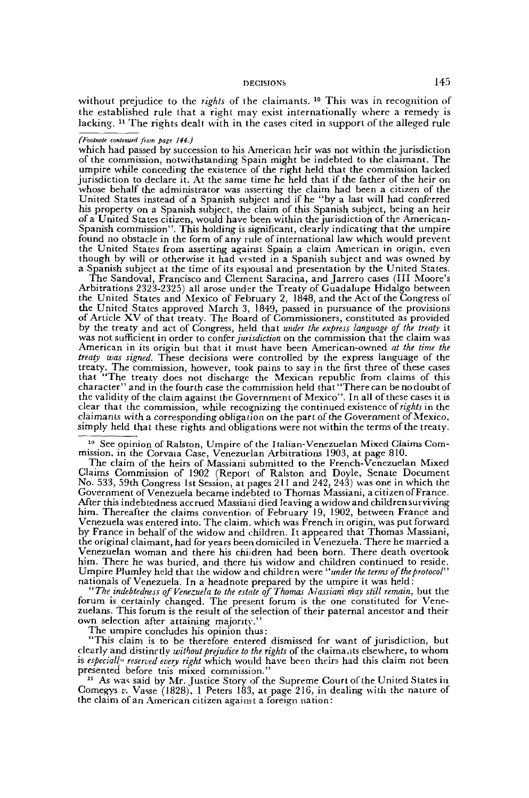without prejudice to the *rights* of the claimants.<sup>10</sup> This was in recognition of the established rule that a right may exist internationally where a remedy is lacking. <sup>11</sup> The rights dealt with in the cases cited in support of the alleged rule

# *(Footnote continued from pag: 144.)*

which had passed by succession to his American heir was not within the jurisdiction of the commission, notwithstanding Spain might be indebted to the claimant. The umpire while conceding the existence of the right held that the commission lacked jurisdiction to declare it. At the same time he held that if the father of the heir on whose behalf the administrator was asserting the claim had been a citizen of the United States instead of a Spanish subject and if he "by a last will had conferred his property on a Spanish subject, the claim of this Spanish subject, being an heir of a United States citizen, would have been within the jurisdiction of the American-Spanish commission". This holding is significant, clearly indicating that the umpire found no obstacle in the form of any rule of international law which would prevent the United States from asserting against Spain a claim American in origin, even though by will or otherwise it had vested in a Spanish subject and was owned by a Spanish subject at the time of its espousal and presentation by the United States.

The Sandoval, Francisco and Clement Saracina, and Jarrero cases (III Moore's Arbitrations 2323-2325) all arose under the Treaty of Guadalupe Hidalgo between the United States and Mexico of February 2, 1848, and the Act of the Congress of the United States approved March 3, 1849, passed in pursuance of the provisions of Article XV of that treaty. The Board of Commissioners, constituted as provided by the treaty and act of Congress, held that *under the express language of the treaty* it was not sufficient in order to confer *jurisdiction* on the commission that the claim was American in its origin but that it must have been American-owned *at the time the treaty was signed.* These decisions were controlled by the express language of the treaty. The commission, however, took pains to say in the first three of these cases that "The treaty does not discharge the Mexican republic from claims of this character" and in the fourth case the commission held that "There can be no doubt of the validity of the claim against the Government of Mexico". In all of these cases it is clear that the commission, while recognizing the continued existence of *rights* in the claimants with a corresponding obligal ion on the part of the Government of Mexico, simply held that these rights and obligations were not within the terms of the treaty.

<sup>10</sup> See opinion of Ralston, Umpire of the Italian-Venezuelan Mixed Claims Commission, in the Corvaia Case, Venezuelan Arbitrations 1903, at page 810.

The claim of the heirs of Massiani submitted to the French-Venezuelan Mixed Claims Commission of 1902 (Report of Ralston and Doyle, Senate Document No. 533, 59th Congress 1st Session, at pages 2 11 and 242, 243) was one in which the Government of Venezuela became indebted to Thomas Massiani, acitizenofFrance. After this indebtedness accrued Massiani died leaving a widow and children surviving him. Thereafter the claims convention of February 19, 1902, between France and Venezuela was entered into. The claim, which was French in origin, was put forward by France in behalf of the widow and children. It appeared that Thomas Massiani, the original claimant, had for years been domiciled in Venezuela. There he married a Venezuelan woman and there his children had been born. There death overtook him. There he was buried, and there his widow and children continued to reside. Umpire Plumley held that the widow and children were *"under the terms of the protocol"* nationals of Venezuela. In a headnote prepared by the umpire it was held:

*"The indebtedness of Venezuela to the estate of Thomas Aiassiani may still remain,* but the forum is certainly changed. The present forum is the one constituted for Venezuelans. This forum is the result of the selection of their paternal ancestor and their own selection after attaining majority."

The umpire concludes his opinion thus:

"This claim is to be therefore entered dismissed for want of jurisdiction, but clearly and distinctly *without prejudice to the rights* of the claimants elsewhere, to whom is *especially reserved enery right* which would have been theirs had this claim not been presented before tnis mixed commission."

<sup>11</sup> As was said by Mr. Justice Story of the Supreme Court of the United States in Comegys v. Vasse (1828), 1 Peters 183, at page 216, in dealing with the nature of the claim of an American citizen against a foreign nation: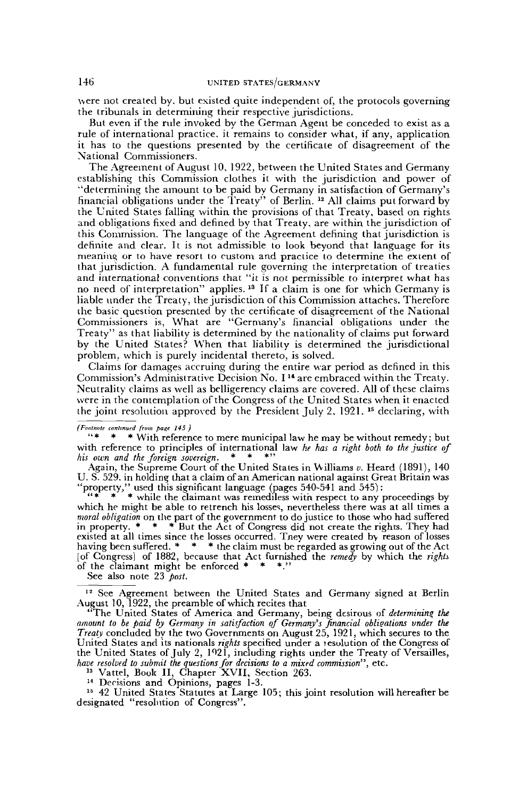were not created by. but existed quite independent of, the protocols governing the tribunals in determining their respective jurisdictions.

But even if the rule invoked by the German Agent be conceded to exist as a rule of international practice, it remains to consider what, if any, application it has to the questions presented by the certificate of disagreement of the National Commissioners.

The Agreement of August 10, 1922, between the United States and Germany establishing this Commission clothes it with the jurisdiction and power of "determining the amount to be paid by Germany in satisfaction of Germany's financial obligations under the Treaty" of Berlin. <sup>12</sup> All claims put forward by the United States falling within the provisions of that Treaty, based on rights and obligations fixed and defined by that Treaty, are within the jurisdiction of this Commission. The language of the Agreement defining that jurisdiction is definite and clear. It is not admissible to look beyond that language for its meaning or to have resort to custom and practice to determine the extent of that jurisdiction. A fundamental rule governing the interpretation of treaties and international conventions that "it is not permissible to interpret what has no need of interpretation" applies.<sup>13</sup> If a claim is one for which Germany is liable under the Treaty, the jurisdiction of this Commission attaches. Therefore the basic question presented by the certificate of disagreement of the National Commissioners is, What are "Germany's financial obligations under the Treaty" as that liability is determined by the nationality of claims put forward by the United States? When that liability is determined the jurisdictional problem, which is purely incidental thereto, is solved.

Claims for damages accruing during the entire war period as defined in this Commission's Administrative Decision No. I <sup>14</sup> are embraced within the Treaty. Neutrality claims as well as belligerency claims are covered. All of these claims were in the contemplation of the Congress of the United States when it enacted the joint resolution approved by the President July 2. 1921. 15 declaring, with

#### *(Fvatnole continued from pazc 145 )*

"\* \* \* With reference to mere municipal law he may be without remedy; but with reference to principles of international law *he has a right both to the justice of*<br>his ourn and the foreign sovereign. \* \* \*'' *his own and the foreign sovereign.* 

Again, the Supreme Court of the United States in Williams *v.* Heard (1891), 140 U. S. 529. in holding that a claim of an American national against Great Britain was "property," used this significant language (pages 540-541 and 545) :

 $' * * * *$  while the claimant was remediless with respect to any proceedings by which he might be able to retrench his losses, nevertheless there was at all times a *moral obligation* on the part of the government to do justice to those who had suffered in property. \* \* \* But the Act of Congress did not create the rights. They had existed at all times since the losses occurred. Tney were created bv reason of losses having been suffered. \* \* \* the claim must be regarded as growing out of the Act [of Congress] of 1882, because that Act furnished the *remedy* by which the *rights* of the claimant might be enforced  $* * *$ ."

See also note 23 *post.*

<sup>12</sup> See Agreement between the United States and Germany signed at Berlin August 10, 1922, the preamble of which recites that

"The United States of America and Germany, being desirous of *determining the amount to be paid by Germany in satisfaction of Germany's financial obligations under the Treaty* concluded by the two Governments on August 25, 1921, which secures to the United States and its nationals *rights* specified under a resolution of the Congress of the United States of July 2,  $192\overline{l}$ , including rights under the Treaty of Versailles, *have resolved to submit the questions for decisions to a mixed commission",* etc. 13 Vattel, Book II, Chapter XVII, Section 263.

14 Derisions and Opinions, pages 1-3.

<sup>15</sup> 42 United States Statutes at Large 105; this joint resolution will hereafter be designated "resolution of Congress".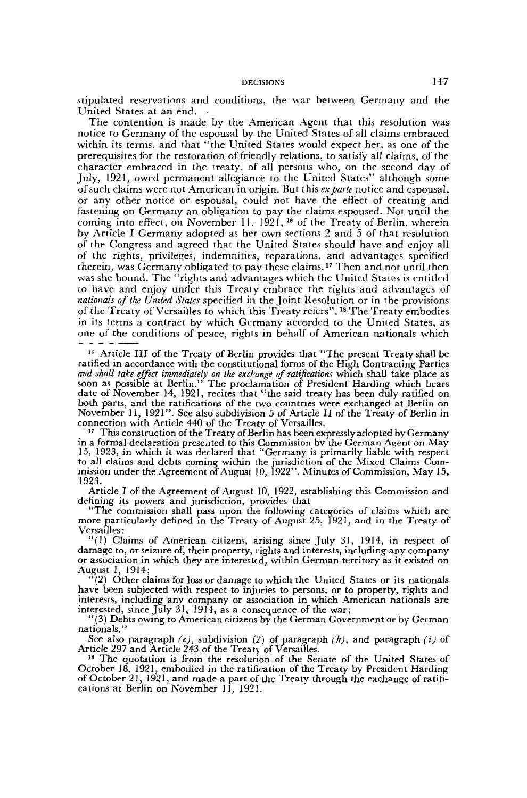stipulated reservations and conditions, the war between Germany and the United States at an end. •

The contention is made by the American Agent that this resolution was notice to Germany of the espousal by the United States of all claims embraced within its terms, and that "the United States would expect her, as one of the prerequisites for the restoration of friendly relations, to satisfy all claims, of the character embraced in the treaty, of all persons who, on the second day of July, 1921, owed permanent allegiance to the United States" although some of such claims were not American in origin. But this *ex parte* notice and espousal, or any other notice or espousal, could not have the effect of creating and fastening on Germany an obligation to pay the claims espoused. Not until the coming on Sermary and obligation to play the crain is esponsed. The after the<br>coming into effect, on November 11, 1921, <sup>16</sup> of the Treaty of Berlin, wherein by Article I Germany adopted as her own sections 2 and 5 of that resolution of the Congress and agreed that the United States should have and enjoy all of the rights, privileges, indemnities, reparations, and advantages specified of the rights, privileges, indefinities, reparations, and advantages specified<br>therein, was Germany obligated to pay these claims.<sup>17</sup> Then and not until then was she bound. The "rights and advantages which the United States is entitled to have and enjoy under this Trealy embrace the rights and advantages of *nationals of the United States* specified in the Joint Resolution or in the provisions nationals of the Onited States spectrica in the John Resortation of in the provisions<br>of the Treaty of Versailles to which this Treaty refers'' <sup>18</sup> The Treaty embodies in its terms a contract by which Germany accorded to the United States, as one of the conditions of peace, righis in behalf of American nationals which

<sup>16</sup> Article III of the Treaty of Berlin provides that "The present Treaty shall be ratified in accordance with the constitutional forms of the High Contracting Parties and shall take effect immediately on the exchange of ratifications which shall take place as<br>soon as possible at Berlin.'' The proclamation of President Harding which bears date of November 14, 1921, recites that "the said treaty has been duly ratified on both parts, and the ratifications of the two countries were exchanged at Berlin on November 11, 1921". See also subdivision 5 of Article II of the Treaty of Berlin in connection with Article 440 of the Treaty of Versailles.

<sup>17</sup> This construction of the Treaty of Berlin has been expressly adopted by Germany in a formal declaration presented to this Commission by the German Agent on May 15, 1923, in which it was declared that "Germany is primarily liable with respect to all claims and debts coming within the jurisdiction of the Mixed Claims Commission under the Agreement of August 10, 1922". Minutes of Commission, May 15, 1923.

Article I of the Agreement of August 10, 1922, establishing this Commission and defining its powers and jurisdiction, provides that

"The commission shall pass upon the following categories of claims which are more particularly defined in the Treaty of August 25, 1921, and in the Treaty of Versailles :

"(1) Claims of American citizens, arising since July 31, 1914, in respect of damage to, or seizure of, their property, rights and interests, including any company or association in which they are interested, within German territory as it existed on August 1, 1914;

 $(2)$  Other claims for loss or damage to which the United States or its nationals have been subjected with respect to injuries to persons, or to property, rights and interests, including any company or association in which American nationals are interested, since July 31, 1914, as a consequence of the war;

"(3) Debts owing to American citizens by the German Government or by German nationals."

See also paragraph *(e),* subdivision (2) of paragraph *(k),* and paragraph *(i)* of Article 297 and Article 243 of the Treaty of Versailles.

18 The quotation is from the resolution of the Senate of the United States of October 18, 1921, embodied in the ratification of the Treaty by President Harding of October 21, 1921, and made a part of the Treaty through the exchange of ratifications at Berlin on November 11, 1921.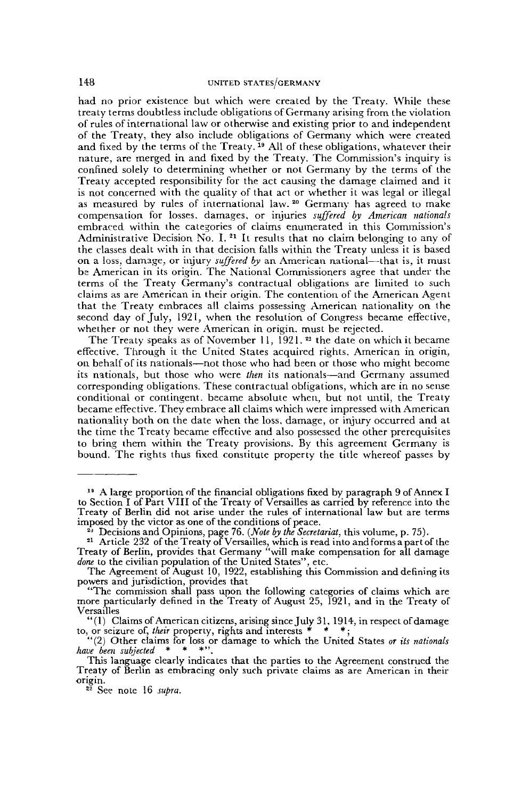had no prior existence but which were created by the Treaty. While these treaty terms doubtless include obligations of Germany arising from the violation of rules of international law or otherwise and existing prior to and independent of the Treaty, they also include obligations of Germany which were created and fixed by the terms of the Treaty.<sup>19</sup> All of these obligations, whatever their nature, are merged in and fixed by the Treaty. The Commission's inquiry is confined solely to determining whether or not Germany by the terms of the Treaty accepted responsibility for the act causing the damage claimed and it is not concerned with the quality of that act or whether it was legal or illegal as not concerned with the quality of that act of whether it was legal of inegalized.<br>as measured by rules of international law. <sup>20</sup> Germany has agreed to make compensation for losses, damages, or injuries *suffered by American nationals* embraced within the categories of claims enumerated in this Commission's Administrative Decision No. I. It results that no claim belonging to any of the classes dealt with in that decision falls within the Treaty unless it is based on a loss, damage, or injury *suffered by* an American national—that is, it must be American in its origin. The National Commissioners agree that under the terms of the Treaty Germany's contractual obligations are limited to such claims as are American in their origin. The contention of the American Agent that the Treaty embraces all claims possessing American nationality on the second day of July, 1921, when the resolution of Congress became effective, whether or not they were American in origin, must be rejected.

The Treaty speaks as of November 11, 1921.<sup>22</sup> the date on which it became effective. Through it the United States acquired rights. American in origin, on behalf of its nationals—not those who had been or those who might become its nationals, but those who were *then* its nationals—and Germany assumed corresponding obligations. These contractual obligations, which are in no sense conditional or contingent, became absolute when, but not until, the Treaty became effective. They embrace all claims which were impressed with American nationality both on the date when the loss, damage, or injury occurred and at the time the Treaty became effective and also possessed the other prerequisites to bring them within the Treaty provisions. By this agreement Germany is bound. The rights thus fixed constitute property the title whereof passes by

<sup>18</sup> A large proportion of the financial obligations fixed by paragraph 9 of Annex I to Section I of Part VIII of the Treaty of Versailles as carried by reference into the Treaty of Berlin did not arise under the rules of international law but are terms imposed by the victor as one of the conditions of peace.

<sup>&</sup>lt;sup>2</sup>) Decisions and Opinions, page 76. (*Note by the Secretariat,* this volume, p. 75).<br><sup>21</sup> Article 232 of the Treaty of Versailles, which is read into and forms a part of the Treaty of Berlin, provides that Germany "will make compensation for all damage *done* to the civilian population of the United States", etc.

The Agreement of August 10, 1922, establishing this Commission and defining its powers and jurisdiction, provides that

<sup>&</sup>quot;The commission shall pass upon the following categories of claims which are more particularly defined in the Treaty of August 25, 1921, and in the Treaty of Versailles

<sup>&</sup>quot;(1) Claims of American citizens, arising since July 31, 1914, in respect of damage to, or seizure of, *their* property, rights and interests \* \* \* ;

<sup>&</sup>quot;(2) Other claims for loss or damage to which the United States *or its nationals have been subjected \** \* \*" .

This language clearly indicates that the parties to the Agreement construed the Treaty of Berlin as embracing only such private claims as are American in their origin.

<sup>22</sup> See note 16 *supra.*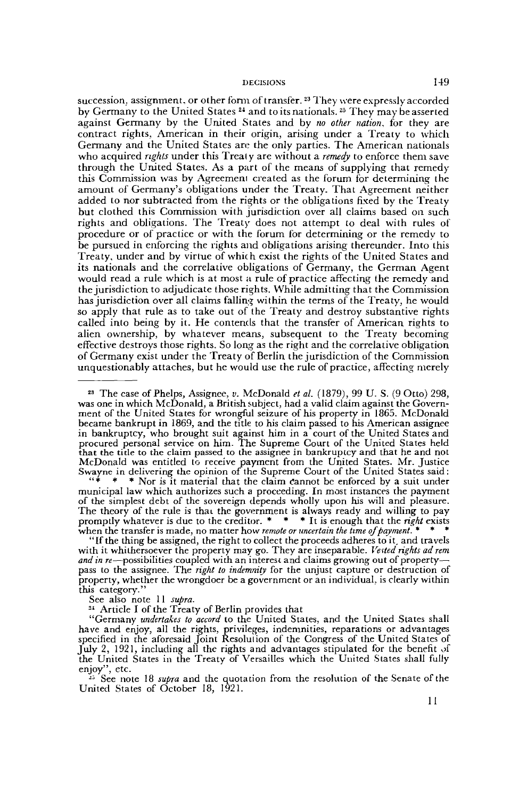$\bf{s}$ u $\bf{c}$ cession, assignment, or other form of transfer.  $^{23}$  They were expressly accorded by Germany to the United States <sup>24</sup> and to its nationals. <sup>25</sup> They may be asserted against Germany by the United States and by *no other nation,* for they are contract rights, American in their origin, arising under a Treaty to which Germany and the United States are the only parties. The American nationals who acquired *rights* under this Treaty are without a *remedy* to enforce them save through the United States. As a part of the means of supplying that remedy this Commission was by Agreemenl created as the forum for determining the amount of Germany's obligations under the Treaty. That Agreement neither added to nor subtracted from the rights or the obligations fixed by the Treaty but clothed this Commission with jurisdiction over all claims based on such rights and obligations. The Treaty does not attempt to deal with rules of procedure or of practice or with the forum for determining or the remedy to be pursued in enforcing the rights and obligations arising thereunder. Into this Treaty, under and by virtue of which exist the rights of the United States and its nationals and the correlative obligations of Germany, the German Agent would read a rule which is at most a rule of practice affecting the remedy and the jurisdiction to adjudicate those rights. While admitting that the Commission has jurisdiction over all claims falling within the terms of the Treaty, he would so apply that rule as to take out of the Treaty and destroy substantive rights called into being by it. He contends that the transfer of American rights to alien ownership, by whatever means, subsequent to the Treaty becoming effective destroys those rights. So long as the right and the correlative obligation of Germany exist under the Treaty of Berlin the jurisdiction of the Commission unquestionably attaches, but he would use the rule of practice, affecting merely

23 The case of Phelps, Assignee, *v.* McDonald *et al.* (1879), 99 U. S. (9 Otto) 298, was one in which McDonald, a British subject, had a valid claim against the Government of the United States for wrongful seizure of his property in 1865. McDonald became bankrupt in 1869, and the title to his claim passed to his American assignee in bankruptcy, who brought suit against him in a court of the United States and procured personal service on him. The Supreme Court of the United States held that the title to the claim passed to the assignee in bankruptcy and that he and not McDonald was entitled to receive payment from the United States. Mr. Justice Swayne in delivering the opinion of the Supreme Court of the United States said:

 $" * * *$  Nor is it material that the claim cannot be enforced by a suit under municipal law which authorizes such a proceeding. In most instances the payment of the simplest debt of the sovereign depends wholly upon his will and pleasure. The theory of the rule is that the government is always ready and willing to pay promptly whatever is due to the creditor. \* \* \* It is enough that the *right* exists when the transfer is made, no matter how *remote or uncertain the time of payment. \* \* \**

"If the thing be assigned, the right to collect the proceeds adheres to it, and travels with it whithersoever the property may go. They are inseparable. *Vested rights ad rem and in re*—possibilities coupled with an interest and claims growing out of property pass to the assignee. The *right to indemnity* for the unjust capture or destruction of property, whether the wrongdoer be a government or an individual, is clearly within this category."

See also note 11 *supra.*

<sup>21</sup> Article I of the Treaty of Berlin provides that

"Germany *undertakes to accord* to the United States, and the United States shall have and enjoy, all the rights, privileges, indemnities, reparations or advantages specified in the aforesaid Joint Resolulion of the Congress of the United States of July 2, 1921, including all the rights and advantages stipulated for the benefit of the United States in the Treaty of Versailles which the United States shall fully enjoy", etc.

<sup>15</sup> See note 18 *supra* and the quotation from the resolution of the Senate of the United States of October 18, 1921.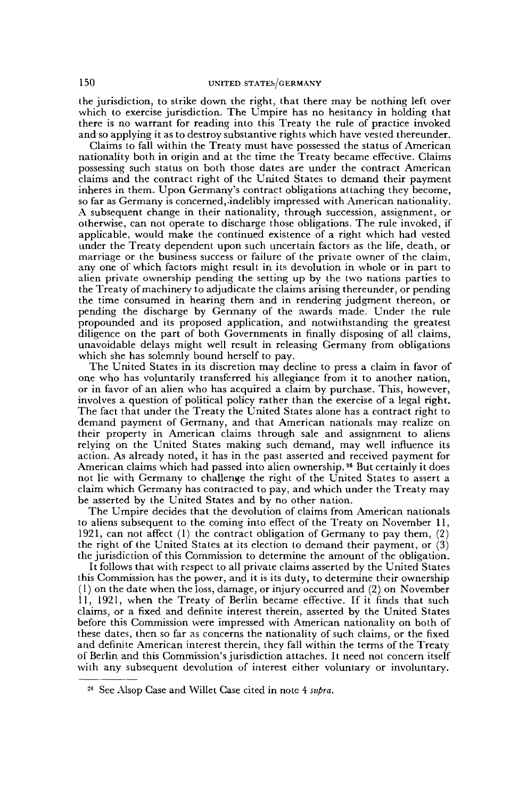the jurisdiction, to strike down the right, that there may be nothing left over which to exercise jurisdiction. The Umpire has no hesitancy in holding that there is no warrant for reading into this Treaty the rule of practice invoked and so applying it as to destroy substantive rights which have vested thereunder.

Claims to fall within the Treaty must have possessed the status of American nationality both in origin and at the time the Treaty became effective. Claims possessing such status on both those dates are under the contract American claims and the contract right of the United States to demand their payment inheres in them. Upon Germany's contract obligations attaching they become, so far as Germany is concerned,-indelibly impressed with American nationality. A subsequent change in their nationality, through succession, assignment, or otherwise, can not operate to discharge those obligations. The rule invoked, if applicable, would make the continued existence of a right which had vested under the Treaty dependent upon such uncertain factors as the life, death, or marriage or the business success or failure of the private owner of the claim, any one of which factors might result in its devolution in whole or in part to alien private ownership pending the setting up by the two nations parties to the Treaty of machinery to adjudicate the claims arising thereunder, or pending the time consumed in hearing them and in rendering judgment thereon, or pending the discharge by Germany of the awards made. Under the rule propounded and its proposed application, and notwithstanding the greatest diligence on the part of both Governments in finally disposing of all claims, unavoidable delays might well result in releasing Germany from obligations which she has solemnly bound herself to pay.

The United States in its discretion may decline to press a claim in favor of one who has voluntarily transferred his allegiance from it to another nation, or in favor of an alien who has acquired a claim by purchase. This, however, involves a question of political policy rather than the exercise of a legal right. The fact that under the Treaty the United States alone has a contract right to demand payment of Germany, and that American nationals may realize on their property in American claims through sale and assignment to aliens relying on the United States making such demand, may well influence its action. As already noted, it has in the past asserted and received payment for American claims which had passed into alien ownership.<sup>26</sup> But certainly it does not lie with Germany to challenge the right of the United States to assert a claim which Germany has contracted to pay, and which under the Treaty may be asserted by the United States and by no other nation.

The Umpire decides that the devolution of claims from American nationals to aliens subsequent to the coming into effect of the Treaty on November 11, 1921, can not affect (1) the contract obligation of Germany to pay them, (2) the right of the United States at its election to demand their payment, or (3) the jurisdiction of this Commission to determine the amount of the obligation.

It follows that with respect to all private claims asserted by the United States this Commission has the power, and it is its duty, to determine their ownership (1) on the date when the loss, damage, or injury occurred and (2) on November 11, 1921, when the Treaty of Berlin became effective. If it finds that such claims, or a fixed and definite interest therein, asserted by the United States before this Commission were impressed with American nationality on both of these dates, then so far as concerns the nationality of such claims, or the fixed and definite American interest therein, they fall within the terms of the Treaty of Berlin and this Commission's jurisdiction attaches. It need not concern itself with any subsequent devolution of interest either voluntary or involuntary.

<sup>26</sup> See Alsop Case and Willet Case cited in note 4 *supra.*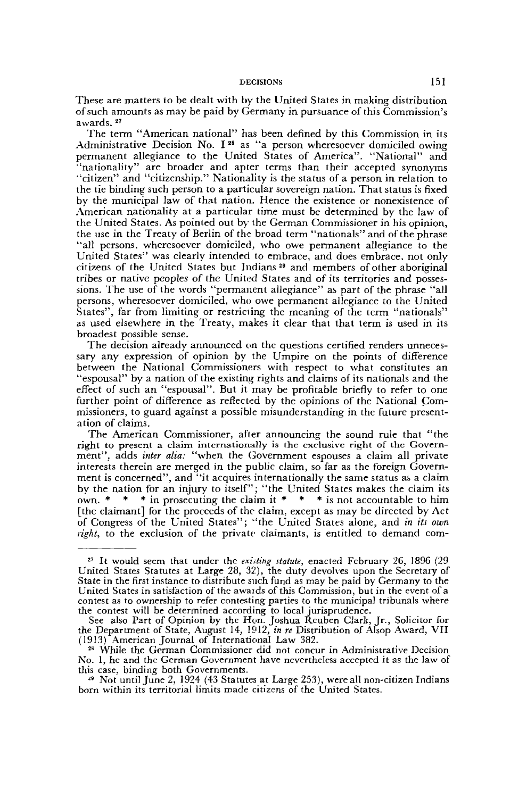These are matters to be dealt with by the United States in making distribution of such amounts as may be paid by Germany in pursuance of this Commission's awards.<sup>27</sup>

The term "American national" has been defined by this Commission in its Administrative Decision No. I<sup>28</sup> as "a person wheresoever domiciled owing permanent allegiance to the United States of America". "National" and "nationality" are broader and apter terms than their accepted synonyms "citizen" and "citizenship." Nationality is the status of a person in relation to the tie binding such person to a particular sovereign nation. That status is fixed by the municipal law of that nation. Hence the existence or nonexistence of American nationality at a particular time must be determined by the law of the United States. As pointed out by the German Commissioner in his opinion, the use in the Treaty of Berlin of the broad term "nationals" and of the phrase "all persons, wheresoever domiciled, who owe permanent allegiance to the United States" was clearly intended to embrace, and does embrace, not only citizens of the United States but Indians<sup>29</sup> and members of other aboriginal tribes or native peoples of the United States and of its territories and possessions. The use of the words "permanent allegiance" as part of the phrase "all persons, wheresoever domiciled, who owe permanent allegiance to the United States", far from limiting or restricting the meaning of the term "nationals" as used elsewhere in the Treaty, makes it clear that that term is used in its broadest possible sense.

The decision already announced on the questions certified renders unnecessary any expression of opinion by the Umpire on the points of difference between the National Commissioners with respect to what constitutes an "espousal" by a nation of the existing rights and claims of its nationals and the effect of such an "espousal". But it may be profitable briefly to refer to one further point of difference as reflected by the opinions of the National Commissioners, to guard against a possible misunderstanding in the future presentation of claims.

The American Commissioner, after announcing the sound rule that "the right to present a claim internationally is the exclusive right of the Government", adds *inter alia:* "when the Government espouses a claim all private interests therein are merged in the public claim, so far as the foreign Government is concerned", and "it acquires internationally the same status as a claim by the nation for an injury to itself"; "the United States makes the claim its own.  $*$   $*$   $*$  in prosecuting the claim it  $*$   $*$   $*$  is not accountable to him [the claimant] for the proceeds of the claim, except as may be directed by Act of Congress of the United States"; "the United States alone, and *in its own right,* to the exclusion of the private claimants, is entitled to demand com-

<sup>&</sup>lt;sup>27</sup> It would seem that under the *existing statute*, enacted February 26, 1896 (29 United States Statutes at Large 28, 32), the duty devolves upon the Secretary of State in the first instance to distribute such fund as may be paid by Germany to the United States in satisfaction of the awaids of this Commission, but in the event of a contest as to ownership to refer contesting parties to the municipal tribunals where the contest will be determined according to local jurisprudence.

See also Part of Opinion by the Hon. Joshua Reuben Clark, Jr., Solicitor for the Department of State, August 14, 1912, *in re* Distribution of Alsop Award, VII (1913) American Journal of International Law 382. 28

While the German Commissioner did not concur in Administrative Decision No. 1, he and the German Government have nevertheless accepted it as the law of this case, binding both Governments.

*<sup>&</sup>quot;* Not until June 2, 1924 (43 Statutes at Large 253), were all non-citizen Indians born within its territorial limits made citizens of the United States.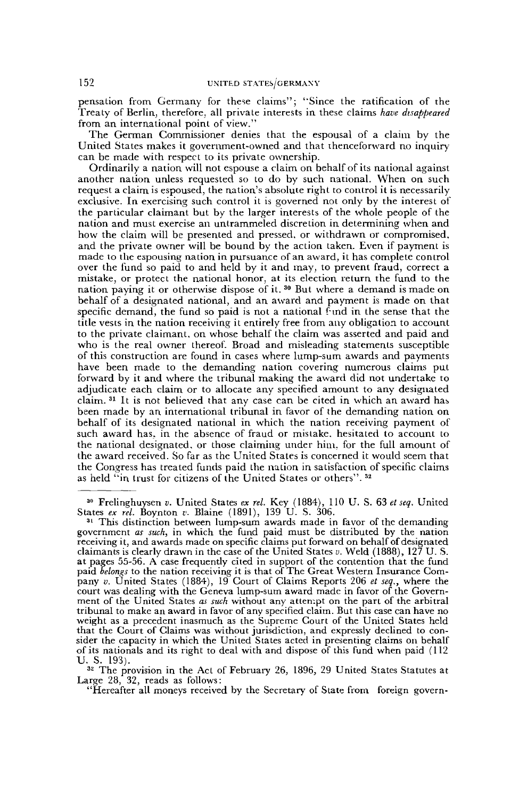pensation from Germany for these claims"; "Since the ratification of the Treaty of Berlin, therefore, all private interests in these claims *have disappeared* from an international point of view."

The German Commissioner denies that the espousal of a claim by the United States makes it government-owned and that thenceforward no inquiry can be made with respect to its private ownership.

Ordinarily a nation will not espouse a claim on behalf of its national against another nation unless requested so to do by such national. When on such request a claim is espoused, the nation's absolute right to control it is necessarily exclusive. In exercising such control it is governed not only by the interest of the particular claimant but by the larger interests of the whole people of the nation and must exercise an untrammeled discretion in determining when and how the claim will be presented and pressed, or withdrawn or compromised, and the private owner will be bound by the action taken. Even if payment is made to the espousing nation in pursuance of an award, it has complete control over the fund so paid to and held by it and may, to prevent fraud, correct a mistake, or protect the national honor, at its election return the fund to the matine, or protect the mational honor, as no observed retain the rand to the<br>nation paying it or otherwise dispose of it. <sup>30</sup> But where a demand is made on behalf of a designated national, and an award and payment is made on that specific demand, the fund so paid is not a national find in the sense that the title vests in the nation receiving it entirely free from any obligation to account to the private claimant, on whose behalf the claim was asserted and paid and who is the real owner thereof. Broad and misleading statements susceptible of this construction are found in cases where lump-sum awards and payments have been made to the demanding nation covering numerous claims put forward by it and where the tribunal making the award did not undertake to adjudicate each claim or to allocate any specified amount to any designated adjudicate each claim of to anotate any spectriculation to any designated<br>claim. It is not believed that any case can be cited in which an award has been made by an international tribunal in favor of the demanding nation on behalf of its designated national in which the nation receiving payment of such award has, in the absence of fraud or mistake, hesitated to account to the national designated, or those claiming under him. for the full amount of the award received. So far as the United States is concerned it would seem that the award received. So far as the Ontited States is concerned it would seem that the Congress has treated funds paid the nation in satisfaction or the United States or others".<sup>32</sup>

30 Frelinghuysen *v.* United States *ex Tel.* Key (1884), 110 U. S. 63 *et seq.* United States *ex rel.* Boynton *v.* Blaine (1891), 139 U. S. 306.

<sup>32</sup> The provision in the Act of February 26, 1896, 29 United States Statutes at Large 28, 32, reads as follows:

"Hereafter all moneys received by the Secretary of State from foreign govern-

<sup>&</sup>lt;sup>31</sup> This distinction between lump-sum awards made in favor of the demanding government *as such,* in which the fund paid must be distributed by the nation receiving it, and awards made on specific claims put forward on behalf of designated claimants is clearly drawn in the case of the United States *v.* Weld (1888), 127 U. S. at pages 55-56. A case frequently cited in support of the contention that the fund paid *belongs* to the nation receiving it is that of The Great Western Insurance Company *v.* United States (1884), 19 Court of Claims Reports 206 *et seq.,* where the court was dealing with the Geneva lump-sum award made in favor of the Government of the United States *as such* without any attempt on the part of the arbitral tribunal to make an award in favor of any specified claim. But this case can have no weight as a precedent inasmuch as the Supreme Court of the United States held that the Court of Claims was without jurisdiction, and expressly declined to consider the capacity in which the United States acted in presenting claims on behalf of its nationals and its right to deal with and dispose of this fund when paid (112 U. S. 193).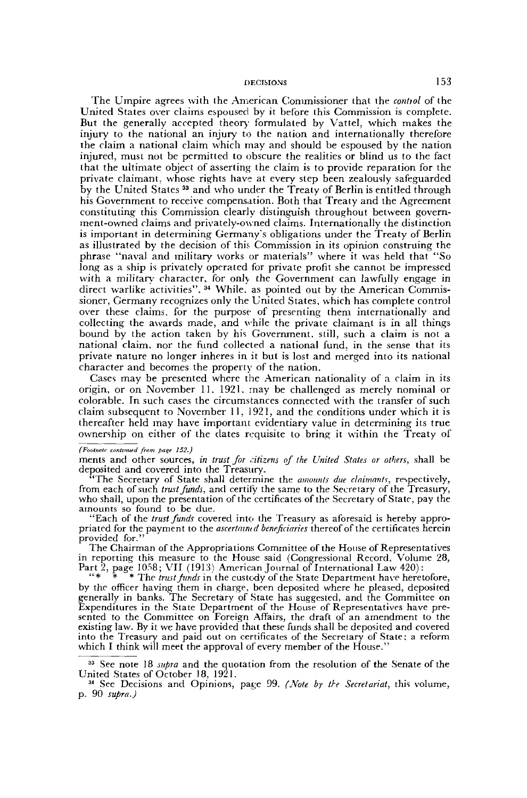The Umpire agrees with the American Commissioner that the *contiol* of the United States over claims espoused by it before this Commission is complete. But the generally accepted theory formulated by Vattel, which makes the injury to the national an injury to the nation and internationally therefore the claim a national claim which may and should be espoused by the nation injured, must not be permitted to obscure the realities or blind us to the fact that the ultimate object of asserting the claim is to provide reparation for the private claimant, whose rights have at every step been zealously safeguarded by the United States <sup>33</sup> and who under the Treaty of Berlin is entitled through his Government to receive compensation. Both that Treaty and the Agreement constituting this Commission clearly distinguish throughout between government-owned claims and privately-owned claims. Internationally the distinction is important in determining Germany's obligations under the Treaty of Berlin as illustrated by the decision of this Commission in its opinion construing the phrase "naval and military works or materials" where it was held that "So long as a ship is privately operated for private profit she cannot be impressed with a military character, for only the Government can lawfully engage in with a mintary character, for only the Government can fawfully engage in<br>direct warlike activities" <sup>34</sup> While, as pointed out by the American Commissioner, Germany recognizes only the United States, which has complete control over these claims, for the purpose of presenting them internationally and collecting the awards made, and while the private claimant is in all things bound by the action taken by his Government, still, such a claim is not a national claim, nor the fund collected a national fund, in the sense that its private nature no longer inheres in it but is lost and merged into its national character and becomes the property of the nation.

Cases may be presented where the American nationality of a claim in its origin, or on November 11. 1921, may be challenged as merely nominal or colorable. In such cases the circumstances connected with the transfer of such claim subsequent to November 11, 1921, and the conditions under which it is thereafter held may have important evidentiary value in determining its true ownership on either of the dates requisite to bring it within the Treaty of

*(Footnote contvnud from pace 152.)*

ments and other sources, *in trust for citizens of the United States or others,* shall be deposited and covered into the Treasury.

"The Secretary of State shall determine the *amounts due claimants,* respectively, from each of such *trust funds,* and certify the same to the Secretary of the Treasury, who shall, upon the presentation of the certificates of the Secretary of State, pay the amounts so found to be due.

"Each of the *trust funds* covered into the Treasury as aforesaid is hereby appropriated for the payment to the *ascertmntd beneficiaries* thereof of the certificates herein provided for."

The Chairman of the Appropriations Committee of the House of Representatives in repotting this measure to the House said (Congressional Record, Volume 28, Part 2, page 1058; VII (1913) American Journal of International Law 420):

" \* \* \* The *trust junds* in the custody of the State Department have heretofore, by the officer having them in charge, been deposited where he pleased, deposited generally in banks. The Secretary of State has suggested, and the Committee on Expenditures in the State Department of the House of Representatives have presented to the Committee on Foreign Affairs, the draft of an amendment to the existing law. By it we have provided that these funds shall be deposited and covered into the Treasury and paid out on certificates of the Secretary of State; a reform which I think will meet the approval of every member of the House."

<sup>33</sup> See note 18 *supra* and the quotation from the resolution of the Senate of the United States of October 18, 1921.

*<sup>34</sup>* See Decisions and Opinions, page 99. *(Note by the Secretariat,* this volume, p. 90 *supra.)*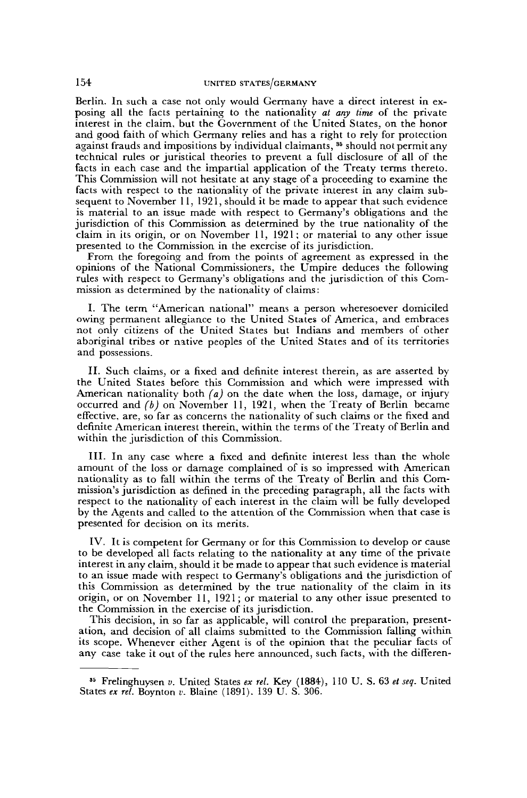Berlin. In such a case not only would Germany have a direct interest in exposing all the facts pertaining to the nationality *at any time* of the private interest in the claim, but the Government of the United States, on the honor and good faith of which Germany relies and has a right to rely for protection against frauds and impositions by individual claimants, <sup>35</sup> should not permit any technical rules or juristical theories to prevent a full disclosure of all of the facts in each case and the impartial application of the Treaty terms thereto. This Commission will not hesitate at any stage of a proceeding to examine the facts with respect to the nationality of the private interest in any claim subsequent to November 11, 1921, should it be made to appear that such evidence is material to an issue made with respect to Germany's obligations and the jurisdiction of this Commission as determined by the true nationality of the claim in its origin, or on November 11, 1921 ; or material to any other issue presented to the Commission in the exercise of its jurisdiction.

From the foregoing and from the points of agreement as expressed in the opinions of the National Commissioners, the Umpire deduces the following rules with respect to Germany's obligations and the jurisdiction of this Commission as determined by the nationality of claims:

I. The term "American national" means a person wheresoever domiciled owing permanent allegiance to the United States of America, and embraces not only citizens of the United States but Indians and members of other aboriginal tribes or native peoples of the United States and of its territories and possessions.

II. Such claims, or a fixed and definite interest therein, as are asserted by the United States before this Commission and which were impressed with American nationality both *(a)* on the date when the loss, damage, or injury occurred and *(b)* on November 11, 1921, when the Treaty of Berlin became effective, are, so far as concerns the nationality of such claims or the fixed and definite American interest therein, within the terms of the Treaty of Berlin and within the jurisdiction of this Commission.

III. In any case where a fixed and definite interest less than the whole amount of the loss or damage complained of is so impressed with American nationality as to fall within the terms of the Treaty of Berlin and this Commission's jurisdiction as defined in the preceding paragraph, all the facts with respect to the nationality of each interest in the claim will be fully developed by the Agents and called to the attention of the Commission when that case is presented for decision on its merits.

IV. It is competent for Germany or for this Commission to develop or cause to be developed all facts relating to the nationality at any time of the private interest in any claim, should it be made to appear that such evidence is material to an issue made with respect to Germany's obligations and the jurisdiction of this Commission as determined by the true nationality of the claim in its origin, or on November 11, 1921; or material to any other issue presented to the Commission in the exercise of its jurisdiction.

This decision, in so far as applicable, will control the preparation, presentation, and decision of all claims submitted to the Commission falling within its scope. Whenever either Agent is of the opinion that the peculiar facts of any case take it out of the rules here announced, such facts, with the differen-

<sup>35</sup> Frelinghuysen *v.* United States *ex rel.* Key (1884), 110 U. S. 63 *et seq.* United States *ex rel.* Boynton *v.* Blaine (1891). 139 U. S. 306.